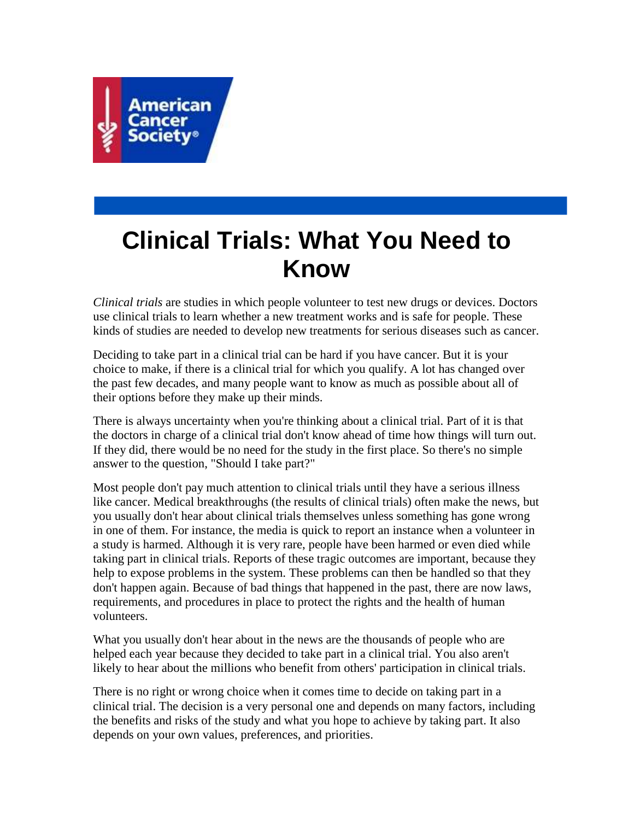

# **Clinical Trials: What You Need to Know**

*Clinical trials* are studies in which people volunteer to test new drugs or devices. Doctors use clinical trials to learn whether a new treatment works and is safe for people. These kinds of studies are needed to develop new treatments for serious diseases such as cancer.

Deciding to take part in a clinical trial can be hard if you have cancer. But it is your choice to make, if there is a clinical trial for which you qualify. A lot has changed over the past few decades, and many people want to know as much as possible about all of their options before they make up their minds.

There is always uncertainty when you're thinking about a clinical trial. Part of it is that the doctors in charge of a clinical trial don't know ahead of time how things will turn out. If they did, there would be no need for the study in the first place. So there's no simple answer to the question, "Should I take part?"

Most people don't pay much attention to clinical trials until they have a serious illness like cancer. Medical breakthroughs (the results of clinical trials) often make the news, but you usually don't hear about clinical trials themselves unless something has gone wrong in one of them. For instance, the media is quick to report an instance when a volunteer in a study is harmed. Although it is very rare, people have been harmed or even died while taking part in clinical trials. Reports of these tragic outcomes are important, because they help to expose problems in the system. These problems can then be handled so that they don't happen again. Because of bad things that happened in the past, there are now laws, requirements, and procedures in place to protect the rights and the health of human volunteers.

What you usually don't hear about in the news are the thousands of people who are helped each year because they decided to take part in a clinical trial. You also aren't likely to hear about the millions who benefit from others' participation in clinical trials.

There is no right or wrong choice when it comes time to decide on taking part in a clinical trial. The decision is a very personal one and depends on many factors, including the benefits and risks of the study and what you hope to achieve by taking part. It also depends on your own values, preferences, and priorities.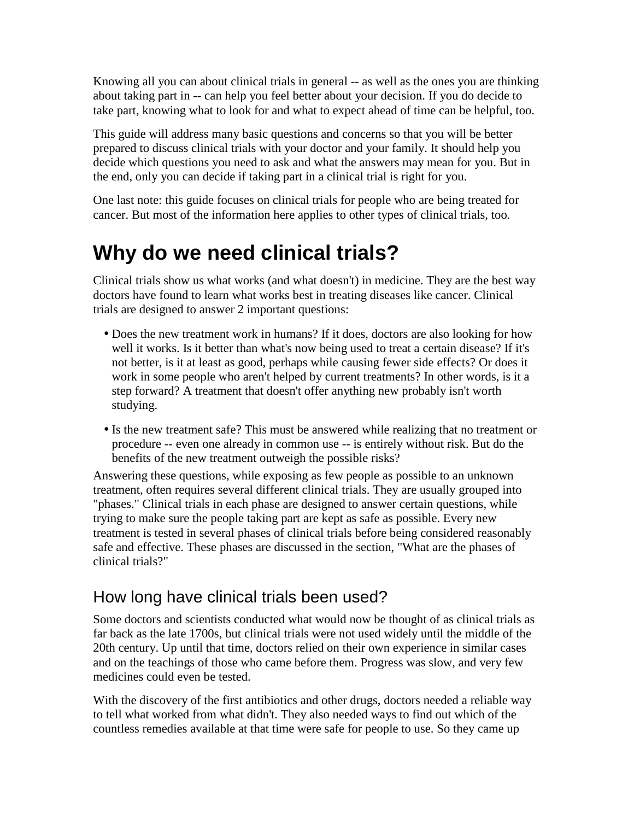Knowing all you can about clinical trials in general -- as well as the ones you are thinking about taking part in -- can help you feel better about your decision. If you do decide to take part, knowing what to look for and what to expect ahead of time can be helpful, too.

This guide will address many basic questions and concerns so that you will be better prepared to discuss clinical trials with your doctor and your family. It should help you decide which questions you need to ask and what the answers may mean for you. But in the end, only you can decide if taking part in a clinical trial is right for you.

One last note: this guide focuses on clinical trials for people who are being treated for cancer. But most of the information here applies to other types of clinical trials, too.

## **Why do we need clinical trials?**

Clinical trials show us what works (and what doesn't) in medicine. They are the best way doctors have found to learn what works best in treating diseases like cancer. Clinical trials are designed to answer 2 important questions:

- Does the new treatment work in humans? If it does, doctors are also looking for how well it works. Is it better than what's now being used to treat a certain disease? If it's not better, is it at least as good, perhaps while causing fewer side effects? Or does it work in some people who aren't helped by current treatments? In other words, is it a step forward? A treatment that doesn't offer anything new probably isn't worth studying.
- Is the new treatment safe? This must be answered while realizing that no treatment or procedure -- even one already in common use -- is entirely without risk. But do the benefits of the new treatment outweigh the possible risks?

Answering these questions, while exposing as few people as possible to an unknown treatment, often requires several different clinical trials. They are usually grouped into "phases." Clinical trials in each phase are designed to answer certain questions, while trying to make sure the people taking part are kept as safe as possible. Every new treatment is tested in several phases of clinical trials before being considered reasonably safe and effective. These phases are discussed in the section, "What are the phases of clinical trials?"

## How long have clinical trials been used?

Some doctors and scientists conducted what would now be thought of as clinical trials as far back as the late 1700s, but clinical trials were not used widely until the middle of the 20th century. Up until that time, doctors relied on their own experience in similar cases and on the teachings of those who came before them. Progress was slow, and very few medicines could even be tested.

With the discovery of the first antibiotics and other drugs, doctors needed a reliable way to tell what worked from what didn't. They also needed ways to find out which of the countless remedies available at that time were safe for people to use. So they came up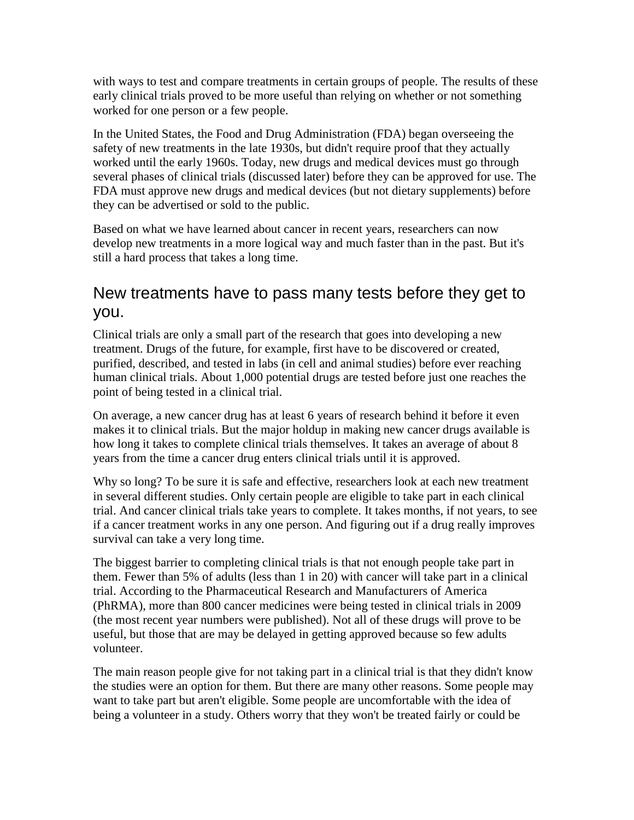with ways to test and compare treatments in certain groups of people. The results of these early clinical trials proved to be more useful than relying on whether or not something worked for one person or a few people.

In the United States, the Food and Drug Administration (FDA) began overseeing the safety of new treatments in the late 1930s, but didn't require proof that they actually worked until the early 1960s. Today, new drugs and medical devices must go through several phases of clinical trials (discussed later) before they can be approved for use. The FDA must approve new drugs and medical devices (but not dietary supplements) before they can be advertised or sold to the public.

Based on what we have learned about cancer in recent years, researchers can now develop new treatments in a more logical way and much faster than in the past. But it's still a hard process that takes a long time.

### New treatments have to pass many tests before they get to you.

Clinical trials are only a small part of the research that goes into developing a new treatment. Drugs of the future, for example, first have to be discovered or created, purified, described, and tested in labs (in cell and animal studies) before ever reaching human clinical trials. About 1,000 potential drugs are tested before just one reaches the point of being tested in a clinical trial.

On average, a new cancer drug has at least 6 years of research behind it before it even makes it to clinical trials. But the major holdup in making new cancer drugs available is how long it takes to complete clinical trials themselves. It takes an average of about 8 years from the time a cancer drug enters clinical trials until it is approved.

Why so long? To be sure it is safe and effective, researchers look at each new treatment in several different studies. Only certain people are eligible to take part in each clinical trial. And cancer clinical trials take years to complete. It takes months, if not years, to see if a cancer treatment works in any one person. And figuring out if a drug really improves survival can take a very long time.

The biggest barrier to completing clinical trials is that not enough people take part in them. Fewer than 5% of adults (less than 1 in 20) with cancer will take part in a clinical trial. According to the Pharmaceutical Research and Manufacturers of America (PhRMA), more than 800 cancer medicines were being tested in clinical trials in 2009 (the most recent year numbers were published). Not all of these drugs will prove to be useful, but those that are may be delayed in getting approved because so few adults volunteer.

The main reason people give for not taking part in a clinical trial is that they didn't know the studies were an option for them. But there are many other reasons. Some people may want to take part but aren't eligible. Some people are uncomfortable with the idea of being a volunteer in a study. Others worry that they won't be treated fairly or could be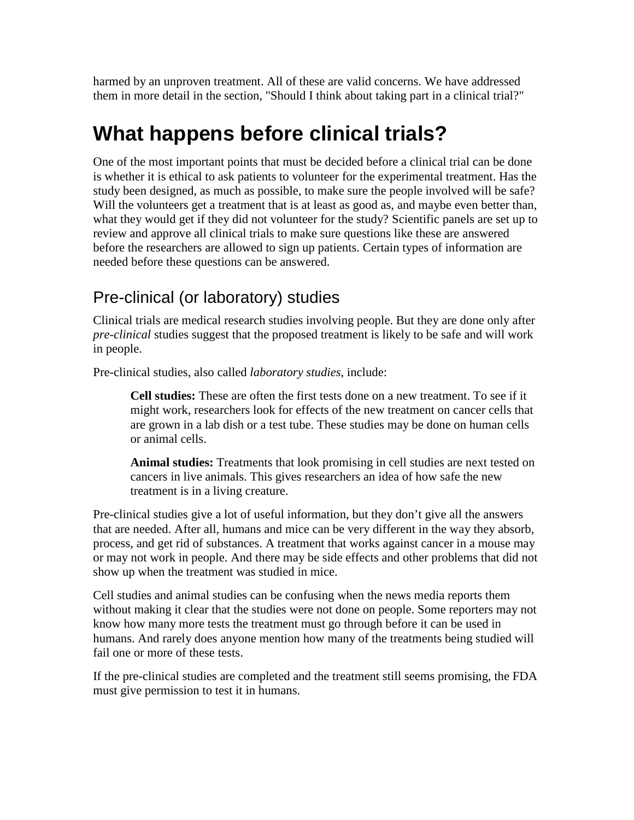harmed by an unproven treatment. All of these are valid concerns. We have addressed them in more detail in the section, "Should I think about taking part in a clinical trial?"

## **What happens before clinical trials?**

One of the most important points that must be decided before a clinical trial can be done is whether it is ethical to ask patients to volunteer for the experimental treatment. Has the study been designed, as much as possible, to make sure the people involved will be safe? Will the volunteers get a treatment that is at least as good as, and maybe even better than, what they would get if they did not volunteer for the study? Scientific panels are set up to review and approve all clinical trials to make sure questions like these are answered before the researchers are allowed to sign up patients. Certain types of information are needed before these questions can be answered.

## Pre-clinical (or laboratory) studies

Clinical trials are medical research studies involving people. But they are done only after *pre-clinical* studies suggest that the proposed treatment is likely to be safe and will work in people.

Pre-clinical studies, also called *laboratory studies*, include:

**Cell studies:** These are often the first tests done on a new treatment. To see if it might work, researchers look for effects of the new treatment on cancer cells that are grown in a lab dish or a test tube. These studies may be done on human cells or animal cells.

**Animal studies:** Treatments that look promising in cell studies are next tested on cancers in live animals. This gives researchers an idea of how safe the new treatment is in a living creature.

Pre-clinical studies give a lot of useful information, but they don't give all the answers that are needed. After all, humans and mice can be very different in the way they absorb, process, and get rid of substances. A treatment that works against cancer in a mouse may or may not work in people. And there may be side effects and other problems that did not show up when the treatment was studied in mice.

Cell studies and animal studies can be confusing when the news media reports them without making it clear that the studies were not done on people. Some reporters may not know how many more tests the treatment must go through before it can be used in humans. And rarely does anyone mention how many of the treatments being studied will fail one or more of these tests.

If the pre-clinical studies are completed and the treatment still seems promising, the FDA must give permission to test it in humans.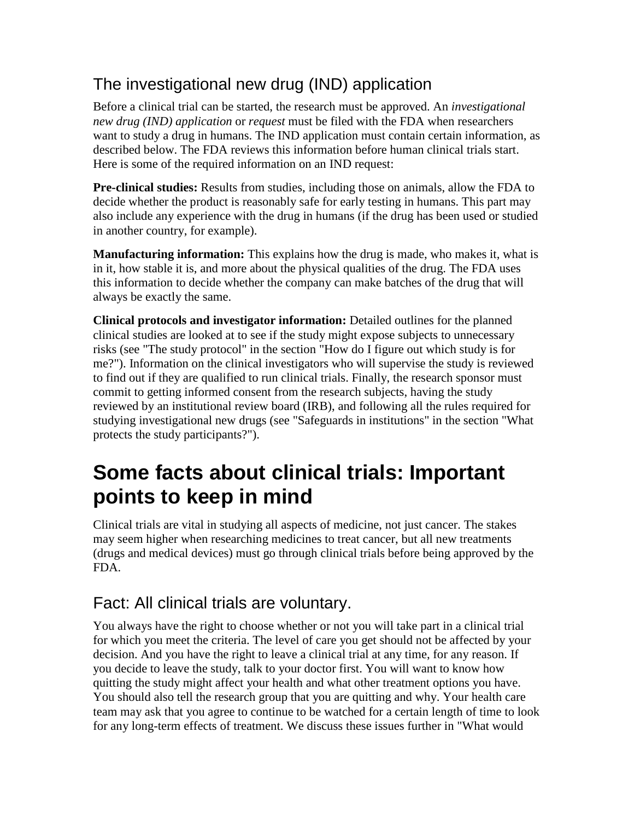## The investigational new drug (IND) application

Before a clinical trial can be started, the research must be approved. An *investigational new drug (IND) application* or *request* must be filed with the FDA when researchers want to study a drug in humans. The IND application must contain certain information, as described below. The FDA reviews this information before human clinical trials start. Here is some of the required information on an IND request:

**Pre-clinical studies:** Results from studies, including those on animals, allow the FDA to decide whether the product is reasonably safe for early testing in humans. This part may also include any experience with the drug in humans (if the drug has been used or studied in another country, for example).

**Manufacturing information:** This explains how the drug is made, who makes it, what is in it, how stable it is, and more about the physical qualities of the drug. The FDA uses this information to decide whether the company can make batches of the drug that will always be exactly the same.

**Clinical protocols and investigator information:** Detailed outlines for the planned clinical studies are looked at to see if the study might expose subjects to unnecessary risks (see "The study protocol" in the section "How do I figure out which study is for me?"). Information on the clinical investigators who will supervise the study is reviewed to find out if they are qualified to run clinical trials. Finally, the research sponsor must commit to getting informed consent from the research subjects, having the study reviewed by an institutional review board (IRB), and following all the rules required for studying investigational new drugs (see "Safeguards in institutions" in the section "What protects the study participants?").

## **Some facts about clinical trials: Important points to keep in mind**

Clinical trials are vital in studying all aspects of medicine, not just cancer. The stakes may seem higher when researching medicines to treat cancer, but all new treatments (drugs and medical devices) must go through clinical trials before being approved by the FDA.

## Fact: All clinical trials are voluntary.

You always have the right to choose whether or not you will take part in a clinical trial for which you meet the criteria. The level of care you get should not be affected by your decision. And you have the right to leave a clinical trial at any time, for any reason. If you decide to leave the study, talk to your doctor first. You will want to know how quitting the study might affect your health and what other treatment options you have. You should also tell the research group that you are quitting and why. Your health care team may ask that you agree to continue to be watched for a certain length of time to look for any long-term effects of treatment. We discuss these issues further in "What would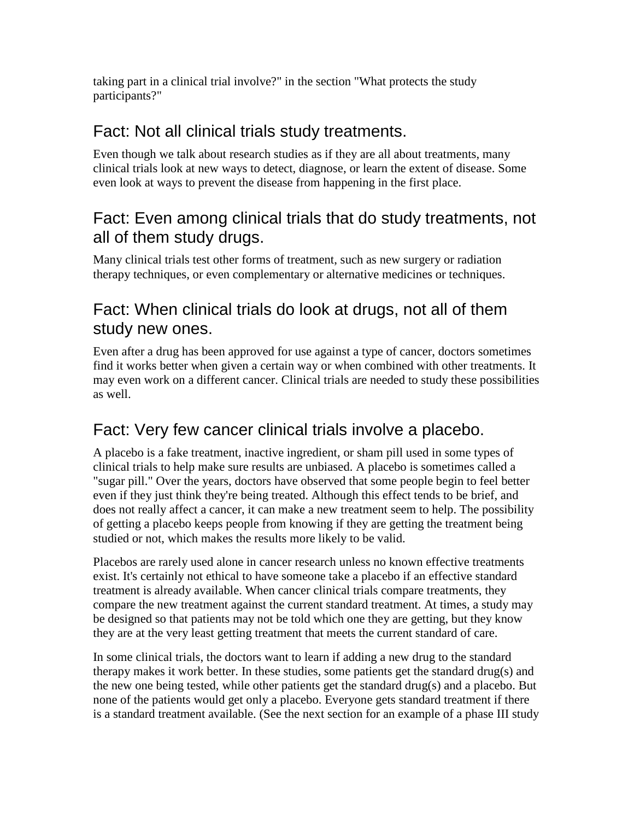taking part in a clinical trial involve?" in the section "What protects the study participants?"

### Fact: Not all clinical trials study treatments.

Even though we talk about research studies as if they are all about treatments, many clinical trials look at new ways to detect, diagnose, or learn the extent of disease. Some even look at ways to prevent the disease from happening in the first place.

## Fact: Even among clinical trials that do study treatments, not all of them study drugs.

Many clinical trials test other forms of treatment, such as new surgery or radiation therapy techniques, or even complementary or alternative medicines or techniques.

## Fact: When clinical trials do look at drugs, not all of them study new ones.

Even after a drug has been approved for use against a type of cancer, doctors sometimes find it works better when given a certain way or when combined with other treatments. It may even work on a different cancer. Clinical trials are needed to study these possibilities as well.

## Fact: Very few cancer clinical trials involve a placebo.

A placebo is a fake treatment, inactive ingredient, or sham pill used in some types of clinical trials to help make sure results are unbiased. A placebo is sometimes called a "sugar pill." Over the years, doctors have observed that some people begin to feel better even if they just think they're being treated. Although this effect tends to be brief, and does not really affect a cancer, it can make a new treatment seem to help. The possibility of getting a placebo keeps people from knowing if they are getting the treatment being studied or not, which makes the results more likely to be valid.

Placebos are rarely used alone in cancer research unless no known effective treatments exist. It's certainly not ethical to have someone take a placebo if an effective standard treatment is already available. When cancer clinical trials compare treatments, they compare the new treatment against the current standard treatment. At times, a study may be designed so that patients may not be told which one they are getting, but they know they are at the very least getting treatment that meets the current standard of care.

In some clinical trials, the doctors want to learn if adding a new drug to the standard therapy makes it work better. In these studies, some patients get the standard drug(s) and the new one being tested, while other patients get the standard drug(s) and a placebo. But none of the patients would get only a placebo. Everyone gets standard treatment if there is a standard treatment available. (See the next section for an example of a phase III study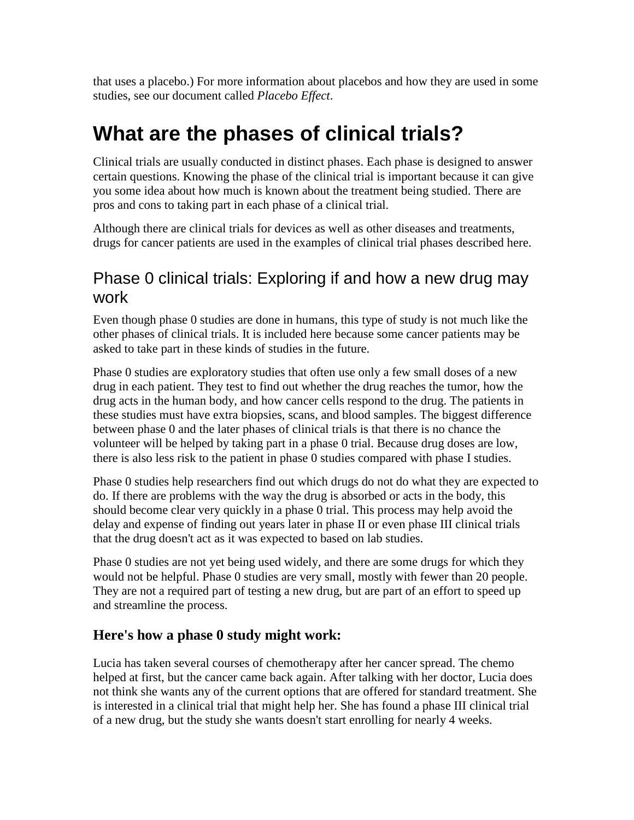that uses a placebo.) For more information about placebos and how they are used in some studies, see our document called *Placebo Effect*.

## **What are the phases of clinical trials?**

Clinical trials are usually conducted in distinct phases. Each phase is designed to answer certain questions. Knowing the phase of the clinical trial is important because it can give you some idea about how much is known about the treatment being studied. There are pros and cons to taking part in each phase of a clinical trial.

Although there are clinical trials for devices as well as other diseases and treatments, drugs for cancer patients are used in the examples of clinical trial phases described here.

## Phase 0 clinical trials: Exploring if and how a new drug may work

Even though phase 0 studies are done in humans, this type of study is not much like the other phases of clinical trials. It is included here because some cancer patients may be asked to take part in these kinds of studies in the future.

Phase 0 studies are exploratory studies that often use only a few small doses of a new drug in each patient. They test to find out whether the drug reaches the tumor, how the drug acts in the human body, and how cancer cells respond to the drug. The patients in these studies must have extra biopsies, scans, and blood samples. The biggest difference between phase 0 and the later phases of clinical trials is that there is no chance the volunteer will be helped by taking part in a phase 0 trial. Because drug doses are low, there is also less risk to the patient in phase 0 studies compared with phase I studies.

Phase 0 studies help researchers find out which drugs do not do what they are expected to do. If there are problems with the way the drug is absorbed or acts in the body, this should become clear very quickly in a phase 0 trial. This process may help avoid the delay and expense of finding out years later in phase II or even phase III clinical trials that the drug doesn't act as it was expected to based on lab studies.

Phase 0 studies are not yet being used widely, and there are some drugs for which they would not be helpful. Phase 0 studies are very small, mostly with fewer than 20 people. They are not a required part of testing a new drug, but are part of an effort to speed up and streamline the process.

#### **Here's how a phase 0 study might work:**

Lucia has taken several courses of chemotherapy after her cancer spread. The chemo helped at first, but the cancer came back again. After talking with her doctor, Lucia does not think she wants any of the current options that are offered for standard treatment. She is interested in a clinical trial that might help her. She has found a phase III clinical trial of a new drug, but the study she wants doesn't start enrolling for nearly 4 weeks.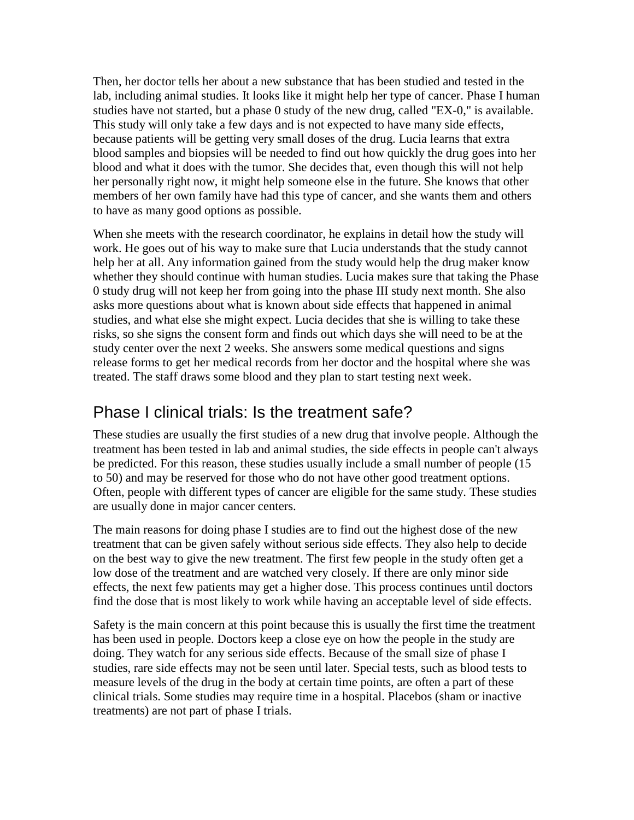Then, her doctor tells her about a new substance that has been studied and tested in the lab, including animal studies. It looks like it might help her type of cancer. Phase I human studies have not started, but a phase 0 study of the new drug, called "EX-0," is available. This study will only take a few days and is not expected to have many side effects, because patients will be getting very small doses of the drug. Lucia learns that extra blood samples and biopsies will be needed to find out how quickly the drug goes into her blood and what it does with the tumor. She decides that, even though this will not help her personally right now, it might help someone else in the future. She knows that other members of her own family have had this type of cancer, and she wants them and others to have as many good options as possible.

When she meets with the research coordinator, he explains in detail how the study will work. He goes out of his way to make sure that Lucia understands that the study cannot help her at all. Any information gained from the study would help the drug maker know whether they should continue with human studies. Lucia makes sure that taking the Phase 0 study drug will not keep her from going into the phase III study next month. She also asks more questions about what is known about side effects that happened in animal studies, and what else she might expect. Lucia decides that she is willing to take these risks, so she signs the consent form and finds out which days she will need to be at the study center over the next 2 weeks. She answers some medical questions and signs release forms to get her medical records from her doctor and the hospital where she was treated. The staff draws some blood and they plan to start testing next week.

### Phase I clinical trials: Is the treatment safe?

These studies are usually the first studies of a new drug that involve people. Although the treatment has been tested in lab and animal studies, the side effects in people can't always be predicted. For this reason, these studies usually include a small number of people (15 to 50) and may be reserved for those who do not have other good treatment options. Often, people with different types of cancer are eligible for the same study. These studies are usually done in major cancer centers.

The main reasons for doing phase I studies are to find out the highest dose of the new treatment that can be given safely without serious side effects. They also help to decide on the best way to give the new treatment. The first few people in the study often get a low dose of the treatment and are watched very closely. If there are only minor side effects, the next few patients may get a higher dose. This process continues until doctors find the dose that is most likely to work while having an acceptable level of side effects.

Safety is the main concern at this point because this is usually the first time the treatment has been used in people. Doctors keep a close eye on how the people in the study are doing. They watch for any serious side effects. Because of the small size of phase I studies, rare side effects may not be seen until later. Special tests, such as blood tests to measure levels of the drug in the body at certain time points, are often a part of these clinical trials. Some studies may require time in a hospital. Placebos (sham or inactive treatments) are not part of phase I trials.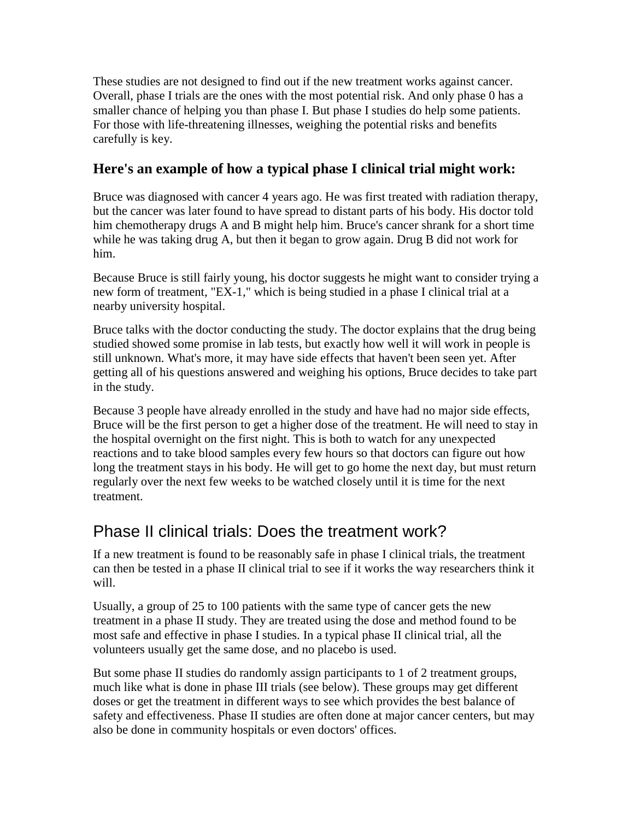These studies are not designed to find out if the new treatment works against cancer. Overall, phase I trials are the ones with the most potential risk. And only phase 0 has a smaller chance of helping you than phase I. But phase I studies do help some patients. For those with life-threatening illnesses, weighing the potential risks and benefits carefully is key.

#### **Here's an example of how a typical phase I clinical trial might work:**

Bruce was diagnosed with cancer 4 years ago. He was first treated with radiation therapy, but the cancer was later found to have spread to distant parts of his body. His doctor told him chemotherapy drugs A and B might help him. Bruce's cancer shrank for a short time while he was taking drug A, but then it began to grow again. Drug B did not work for him.

Because Bruce is still fairly young, his doctor suggests he might want to consider trying a new form of treatment, "EX-1," which is being studied in a phase I clinical trial at a nearby university hospital.

Bruce talks with the doctor conducting the study. The doctor explains that the drug being studied showed some promise in lab tests, but exactly how well it will work in people is still unknown. What's more, it may have side effects that haven't been seen yet. After getting all of his questions answered and weighing his options, Bruce decides to take part in the study.

Because 3 people have already enrolled in the study and have had no major side effects, Bruce will be the first person to get a higher dose of the treatment. He will need to stay in the hospital overnight on the first night. This is both to watch for any unexpected reactions and to take blood samples every few hours so that doctors can figure out how long the treatment stays in his body. He will get to go home the next day, but must return regularly over the next few weeks to be watched closely until it is time for the next treatment.

### Phase II clinical trials: Does the treatment work?

If a new treatment is found to be reasonably safe in phase I clinical trials, the treatment can then be tested in a phase II clinical trial to see if it works the way researchers think it will.

Usually, a group of 25 to 100 patients with the same type of cancer gets the new treatment in a phase II study. They are treated using the dose and method found to be most safe and effective in phase I studies. In a typical phase II clinical trial, all the volunteers usually get the same dose, and no placebo is used.

But some phase II studies do randomly assign participants to 1 of 2 treatment groups, much like what is done in phase III trials (see below). These groups may get different doses or get the treatment in different ways to see which provides the best balance of safety and effectiveness. Phase II studies are often done at major cancer centers, but may also be done in community hospitals or even doctors' offices.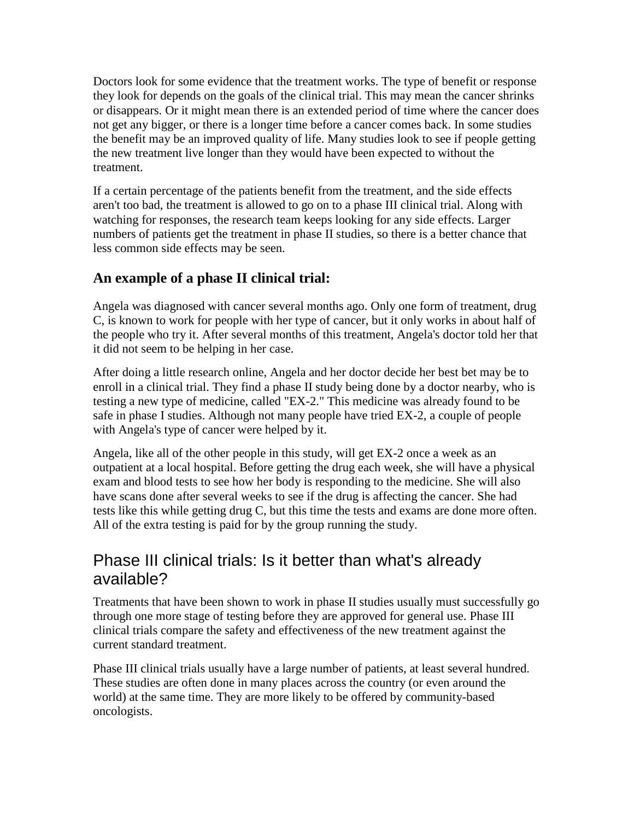Doctors look for some evidence that the treatment works. The type of benefit or response they look for depends on the goals of the clinical trial. This may mean the cancer shrinks or disappears. Or it might mean there is an extended period of time where the cancer does not get any bigger, or there is a longer time before a cancer comes back. In some studies the benefit may be an improved quality of life. Many studies look to see if people getting the new treatment live longer than they would have been expected to without the treatment.

If a certain percentage of the patients benefit from the treatment, and the side effects aren't too bad, the treatment is allowed to go on to a phase III clinical trial. Along with watching for responses, the research team keeps looking for any side effects. Larger numbers of patients get the treatment in phase II studies, so there is a better chance that less common side effects may be seen.

#### **An example of a phase II clinical trial:**

Angela was diagnosed with cancer several months ago. Only one form of treatment, drug C, is known to work for people with her type of cancer, but it only works in about half of the people who try it. After several months of this treatment, Angela's doctor told her that it did not seem to be helping in her case.

After doing a little research online, Angela and her doctor decide her best bet may be to enroll in a clinical trial. They find a phase II study being done by a doctor nearby, who is testing a new type of medicine, called "EX-2." This medicine was already found to be safe in phase I studies. Although not many people have tried EX-2, a couple of people with Angela's type of cancer were helped by it.

Angela, like all of the other people in this study, will get EX-2 once a week as an outpatient at a local hospital. Before getting the drug each week, she will have a physical exam and blood tests to see how her body is responding to the medicine. She will also have scans done after several weeks to see if the drug is affecting the cancer. She had tests like this while getting drug C, but this time the tests and exams are done more often. All of the extra testing is paid for by the group running the study.

### Phase III clinical trials: Is it better than what's already available?

Treatments that have been shown to work in phase II studies usually must successfully go through one more stage of testing before they are approved for general use. Phase III clinical trials compare the safety and effectiveness of the new treatment against the current standard treatment.

Phase III clinical trials usually have a large number of patients, at least several hundred. These studies are often done in many places across the country (or even around the world) at the same time. They are more likely to be offered by community-based oncologists.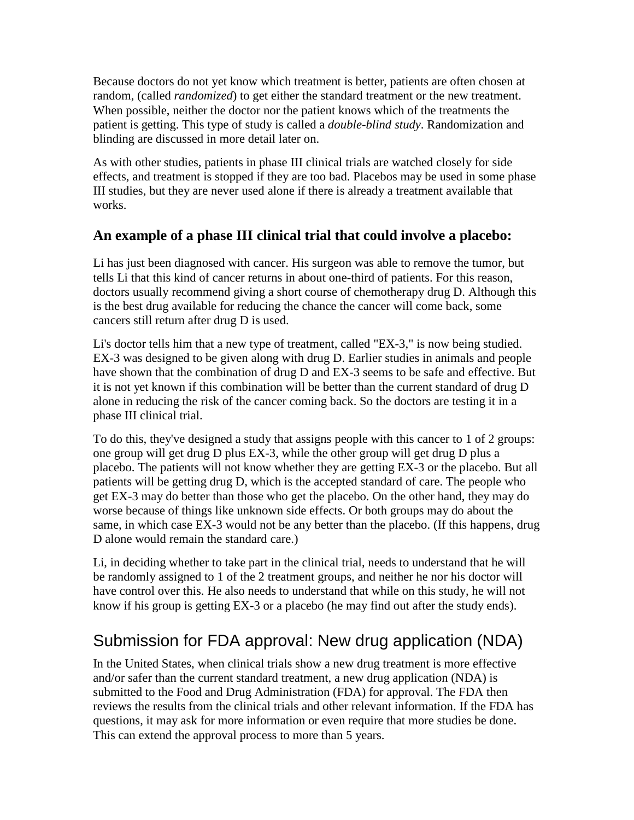Because doctors do not yet know which treatment is better, patients are often chosen at random, (called *randomized*) to get either the standard treatment or the new treatment. When possible, neither the doctor nor the patient knows which of the treatments the patient is getting. This type of study is called a *double-blind study*. Randomization and blinding are discussed in more detail later on.

As with other studies, patients in phase III clinical trials are watched closely for side effects, and treatment is stopped if they are too bad. Placebos may be used in some phase III studies, but they are never used alone if there is already a treatment available that works.

#### **An example of a phase III clinical trial that could involve a placebo:**

Li has just been diagnosed with cancer. His surgeon was able to remove the tumor, but tells Li that this kind of cancer returns in about one-third of patients. For this reason, doctors usually recommend giving a short course of chemotherapy drug D. Although this is the best drug available for reducing the chance the cancer will come back, some cancers still return after drug D is used.

Li's doctor tells him that a new type of treatment, called "EX-3," is now being studied. EX-3 was designed to be given along with drug D. Earlier studies in animals and people have shown that the combination of drug D and EX-3 seems to be safe and effective. But it is not yet known if this combination will be better than the current standard of drug D alone in reducing the risk of the cancer coming back. So the doctors are testing it in a phase III clinical trial.

To do this, they've designed a study that assigns people with this cancer to 1 of 2 groups: one group will get drug D plus EX-3, while the other group will get drug D plus a placebo. The patients will not know whether they are getting EX-3 or the placebo. But all patients will be getting drug D, which is the accepted standard of care. The people who get EX-3 may do better than those who get the placebo. On the other hand, they may do worse because of things like unknown side effects. Or both groups may do about the same, in which case EX-3 would not be any better than the placebo. (If this happens, drug D alone would remain the standard care.)

Li, in deciding whether to take part in the clinical trial, needs to understand that he will be randomly assigned to 1 of the 2 treatment groups, and neither he nor his doctor will have control over this. He also needs to understand that while on this study, he will not know if his group is getting EX-3 or a placebo (he may find out after the study ends).

## Submission for FDA approval: New drug application (NDA)

In the United States, when clinical trials show a new drug treatment is more effective and/or safer than the current standard treatment, a new drug application (NDA) is submitted to the Food and Drug Administration (FDA) for approval. The FDA then reviews the results from the clinical trials and other relevant information. If the FDA has questions, it may ask for more information or even require that more studies be done. This can extend the approval process to more than 5 years.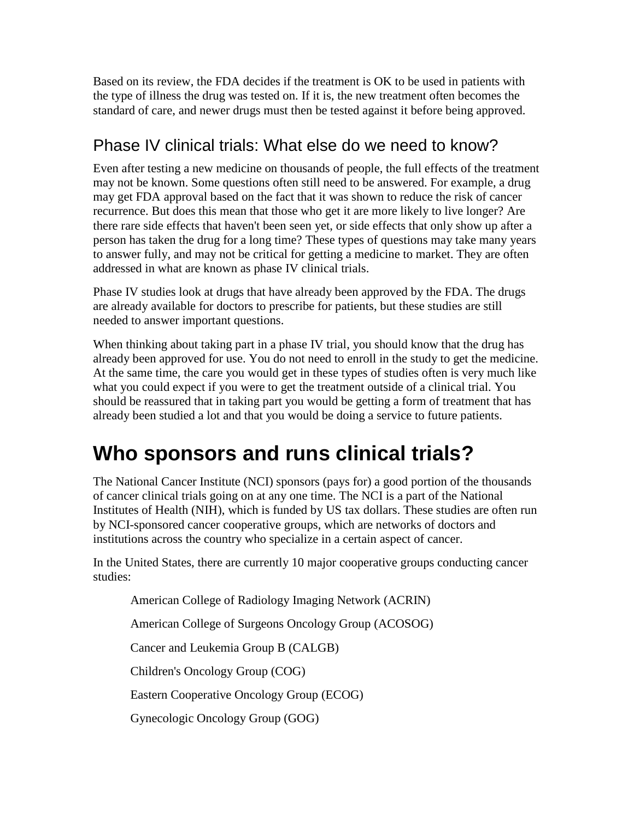Based on its review, the FDA decides if the treatment is OK to be used in patients with the type of illness the drug was tested on. If it is, the new treatment often becomes the standard of care, and newer drugs must then be tested against it before being approved.

## Phase IV clinical trials: What else do we need to know?

Even after testing a new medicine on thousands of people, the full effects of the treatment may not be known. Some questions often still need to be answered. For example, a drug may get FDA approval based on the fact that it was shown to reduce the risk of cancer recurrence. But does this mean that those who get it are more likely to live longer? Are there rare side effects that haven't been seen yet, or side effects that only show up after a person has taken the drug for a long time? These types of questions may take many years to answer fully, and may not be critical for getting a medicine to market. They are often addressed in what are known as phase IV clinical trials.

Phase IV studies look at drugs that have already been approved by the FDA. The drugs are already available for doctors to prescribe for patients, but these studies are still needed to answer important questions.

When thinking about taking part in a phase IV trial, you should know that the drug has already been approved for use. You do not need to enroll in the study to get the medicine. At the same time, the care you would get in these types of studies often is very much like what you could expect if you were to get the treatment outside of a clinical trial. You should be reassured that in taking part you would be getting a form of treatment that has already been studied a lot and that you would be doing a service to future patients.

## **Who sponsors and runs clinical trials?**

The National Cancer Institute (NCI) sponsors (pays for) a good portion of the thousands of cancer clinical trials going on at any one time. The NCI is a part of the National Institutes of Health (NIH), which is funded by US tax dollars. These studies are often run by NCI-sponsored cancer cooperative groups, which are networks of doctors and institutions across the country who specialize in a certain aspect of cancer.

In the United States, there are currently 10 major cooperative groups conducting cancer studies:

American College of Radiology Imaging Network (ACRIN)

American College of Surgeons Oncology Group (ACOSOG)

Cancer and Leukemia Group B (CALGB)

Children's Oncology Group (COG)

Eastern Cooperative Oncology Group (ECOG)

Gynecologic Oncology Group (GOG)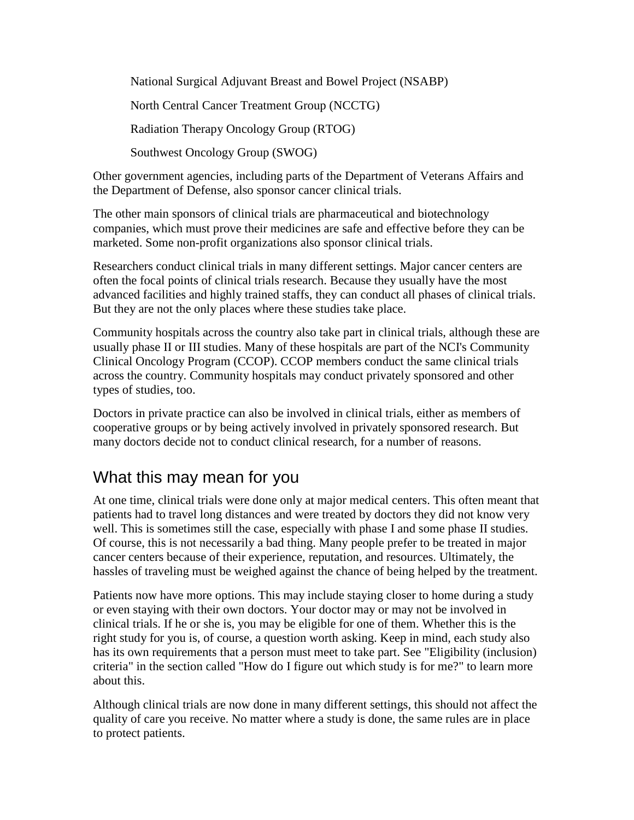National Surgical Adjuvant Breast and Bowel Project (NSABP) North Central Cancer Treatment Group (NCCTG) Radiation Therapy Oncology Group (RTOG) Southwest Oncology Group (SWOG)

Other government agencies, including parts of the Department of Veterans Affairs and the Department of Defense, also sponsor cancer clinical trials.

The other main sponsors of clinical trials are pharmaceutical and biotechnology companies, which must prove their medicines are safe and effective before they can be marketed. Some non-profit organizations also sponsor clinical trials.

Researchers conduct clinical trials in many different settings. Major cancer centers are often the focal points of clinical trials research. Because they usually have the most advanced facilities and highly trained staffs, they can conduct all phases of clinical trials. But they are not the only places where these studies take place.

Community hospitals across the country also take part in clinical trials, although these are usually phase II or III studies. Many of these hospitals are part of the NCI's Community Clinical Oncology Program (CCOP). CCOP members conduct the same clinical trials across the country. Community hospitals may conduct privately sponsored and other types of studies, too.

Doctors in private practice can also be involved in clinical trials, either as members of cooperative groups or by being actively involved in privately sponsored research. But many doctors decide not to conduct clinical research, for a number of reasons.

### What this may mean for you

At one time, clinical trials were done only at major medical centers. This often meant that patients had to travel long distances and were treated by doctors they did not know very well. This is sometimes still the case, especially with phase I and some phase II studies. Of course, this is not necessarily a bad thing. Many people prefer to be treated in major cancer centers because of their experience, reputation, and resources. Ultimately, the hassles of traveling must be weighed against the chance of being helped by the treatment.

Patients now have more options. This may include staying closer to home during a study or even staying with their own doctors. Your doctor may or may not be involved in clinical trials. If he or she is, you may be eligible for one of them. Whether this is the right study for you is, of course, a question worth asking. Keep in mind, each study also has its own requirements that a person must meet to take part. See "Eligibility (inclusion) criteria" in the section called "How do I figure out which study is for me?" to learn more about this.

Although clinical trials are now done in many different settings, this should not affect the quality of care you receive. No matter where a study is done, the same rules are in place to protect patients.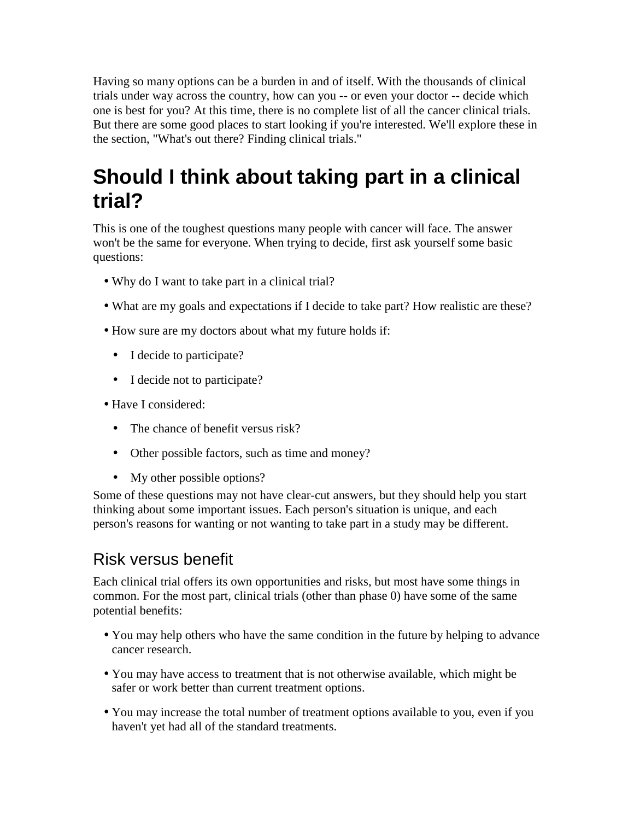Having so many options can be a burden in and of itself. With the thousands of clinical trials under way across the country, how can you -- or even your doctor -- decide which one is best for you? At this time, there is no complete list of all the cancer clinical trials. But there are some good places to start looking if you're interested. We'll explore these in the section, "What's out there? Finding clinical trials."

## **Should I think about taking part in a clinical trial?**

This is one of the toughest questions many people with cancer will face. The answer won't be the same for everyone. When trying to decide, first ask yourself some basic questions:

- Why do I want to take part in a clinical trial?
- What are my goals and expectations if I decide to take part? How realistic are these?
- How sure are my doctors about what my future holds if:
	- I decide to participate?
	- I decide not to participate?
- Have I considered:
	- The chance of benefit versus risk?
	- Other possible factors, such as time and money?
	- My other possible options?

Some of these questions may not have clear-cut answers, but they should help you start thinking about some important issues. Each person's situation is unique, and each person's reasons for wanting or not wanting to take part in a study may be different.

## Risk versus benefit

Each clinical trial offers its own opportunities and risks, but most have some things in common. For the most part, clinical trials (other than phase 0) have some of the same potential benefits:

- You may help others who have the same condition in the future by helping to advance cancer research.
- You may have access to treatment that is not otherwise available, which might be safer or work better than current treatment options.
- You may increase the total number of treatment options available to you, even if you haven't yet had all of the standard treatments.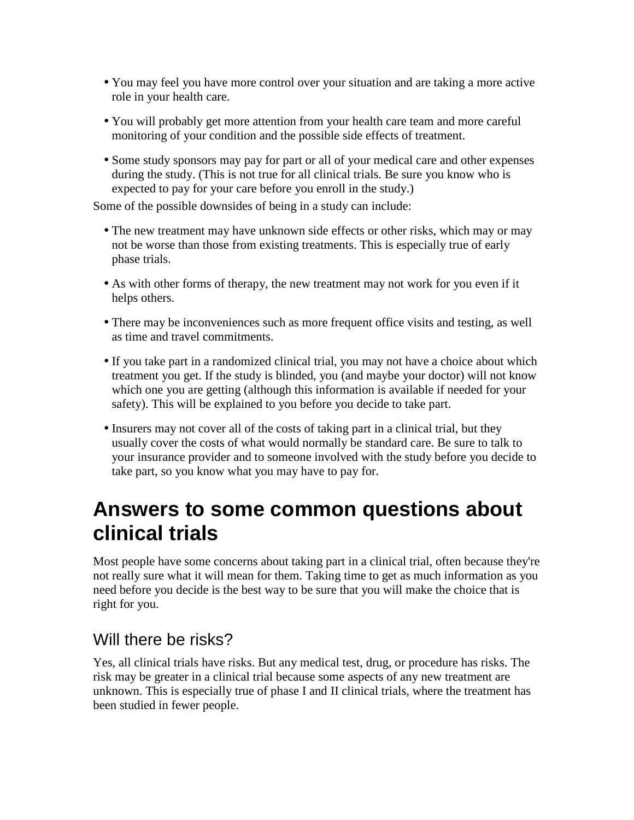- You may feel you have more control over your situation and are taking a more active role in your health care.
- You will probably get more attention from your health care team and more careful monitoring of your condition and the possible side effects of treatment.
- Some study sponsors may pay for part or all of your medical care and other expenses during the study. (This is not true for all clinical trials. Be sure you know who is expected to pay for your care before you enroll in the study.)

Some of the possible downsides of being in a study can include:

- The new treatment may have unknown side effects or other risks, which may or may not be worse than those from existing treatments. This is especially true of early phase trials.
- As with other forms of therapy, the new treatment may not work for you even if it helps others.
- There may be inconveniences such as more frequent office visits and testing, as well as time and travel commitments.
- If you take part in a randomized clinical trial, you may not have a choice about which treatment you get. If the study is blinded, you (and maybe your doctor) will not know which one you are getting (although this information is available if needed for your safety). This will be explained to you before you decide to take part.
- Insurers may not cover all of the costs of taking part in a clinical trial, but they usually cover the costs of what would normally be standard care. Be sure to talk to your insurance provider and to someone involved with the study before you decide to take part, so you know what you may have to pay for.

## **Answers to some common questions about clinical trials**

Most people have some concerns about taking part in a clinical trial, often because they're not really sure what it will mean for them. Taking time to get as much information as you need before you decide is the best way to be sure that you will make the choice that is right for you.

### Will there be risks?

Yes, all clinical trials have risks. But any medical test, drug, or procedure has risks. The risk may be greater in a clinical trial because some aspects of any new treatment are unknown. This is especially true of phase I and II clinical trials, where the treatment has been studied in fewer people.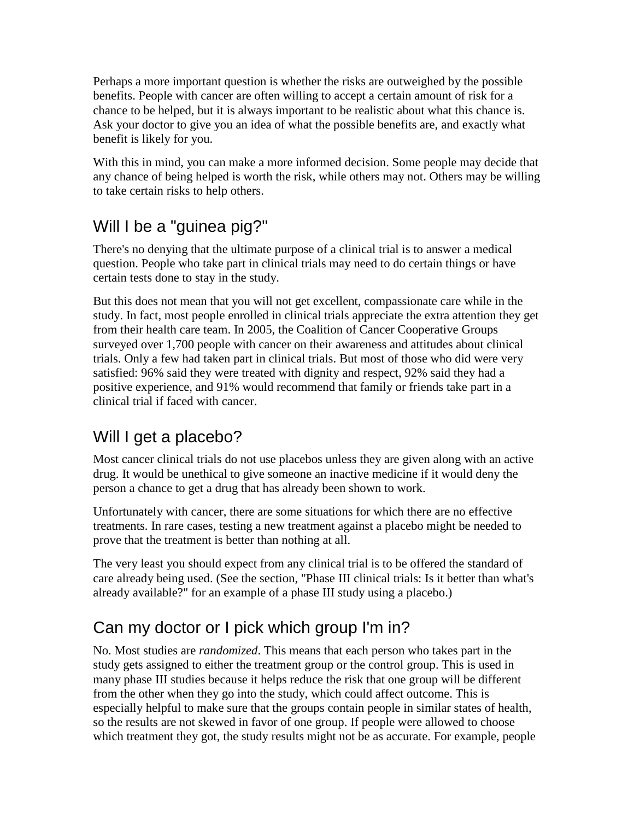Perhaps a more important question is whether the risks are outweighed by the possible benefits. People with cancer are often willing to accept a certain amount of risk for a chance to be helped, but it is always important to be realistic about what this chance is. Ask your doctor to give you an idea of what the possible benefits are, and exactly what benefit is likely for you.

With this in mind, you can make a more informed decision. Some people may decide that any chance of being helped is worth the risk, while others may not. Others may be willing to take certain risks to help others.

## Will I be a "guinea pig?"

There's no denying that the ultimate purpose of a clinical trial is to answer a medical question. People who take part in clinical trials may need to do certain things or have certain tests done to stay in the study.

But this does not mean that you will not get excellent, compassionate care while in the study. In fact, most people enrolled in clinical trials appreciate the extra attention they get from their health care team. In 2005, the Coalition of Cancer Cooperative Groups surveyed over 1,700 people with cancer on their awareness and attitudes about clinical trials. Only a few had taken part in clinical trials. But most of those who did were very satisfied: 96% said they were treated with dignity and respect, 92% said they had a positive experience, and 91% would recommend that family or friends take part in a clinical trial if faced with cancer.

## Will I get a placebo?

Most cancer clinical trials do not use placebos unless they are given along with an active drug. It would be unethical to give someone an inactive medicine if it would deny the person a chance to get a drug that has already been shown to work.

Unfortunately with cancer, there are some situations for which there are no effective treatments. In rare cases, testing a new treatment against a placebo might be needed to prove that the treatment is better than nothing at all.

The very least you should expect from any clinical trial is to be offered the standard of care already being used. (See the section, "Phase III clinical trials: Is it better than what's already available?" for an example of a phase III study using a placebo.)

## Can my doctor or I pick which group I'm in?

No. Most studies are *randomized*. This means that each person who takes part in the study gets assigned to either the treatment group or the control group. This is used in many phase III studies because it helps reduce the risk that one group will be different from the other when they go into the study, which could affect outcome. This is especially helpful to make sure that the groups contain people in similar states of health, so the results are not skewed in favor of one group. If people were allowed to choose which treatment they got, the study results might not be as accurate. For example, people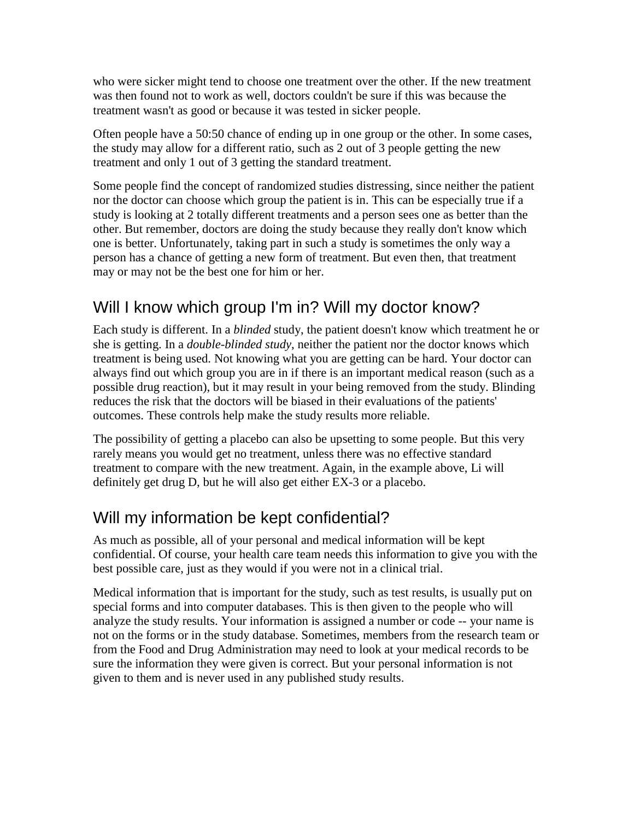who were sicker might tend to choose one treatment over the other. If the new treatment was then found not to work as well, doctors couldn't be sure if this was because the treatment wasn't as good or because it was tested in sicker people.

Often people have a 50:50 chance of ending up in one group or the other. In some cases, the study may allow for a different ratio, such as 2 out of 3 people getting the new treatment and only 1 out of 3 getting the standard treatment.

Some people find the concept of randomized studies distressing, since neither the patient nor the doctor can choose which group the patient is in. This can be especially true if a study is looking at 2 totally different treatments and a person sees one as better than the other. But remember, doctors are doing the study because they really don't know which one is better. Unfortunately, taking part in such a study is sometimes the only way a person has a chance of getting a new form of treatment. But even then, that treatment may or may not be the best one for him or her.

## Will I know which group I'm in? Will my doctor know?

Each study is different. In a *blinded* study, the patient doesn't know which treatment he or she is getting. In a *double-blinded study*, neither the patient nor the doctor knows which treatment is being used. Not knowing what you are getting can be hard. Your doctor can always find out which group you are in if there is an important medical reason (such as a possible drug reaction), but it may result in your being removed from the study. Blinding reduces the risk that the doctors will be biased in their evaluations of the patients' outcomes. These controls help make the study results more reliable.

The possibility of getting a placebo can also be upsetting to some people. But this very rarely means you would get no treatment, unless there was no effective standard treatment to compare with the new treatment. Again, in the example above, Li will definitely get drug D, but he will also get either EX-3 or a placebo.

## Will my information be kept confidential?

As much as possible, all of your personal and medical information will be kept confidential. Of course, your health care team needs this information to give you with the best possible care, just as they would if you were not in a clinical trial.

Medical information that is important for the study, such as test results, is usually put on special forms and into computer databases. This is then given to the people who will analyze the study results. Your information is assigned a number or code -- your name is not on the forms or in the study database. Sometimes, members from the research team or from the Food and Drug Administration may need to look at your medical records to be sure the information they were given is correct. But your personal information is not given to them and is never used in any published study results.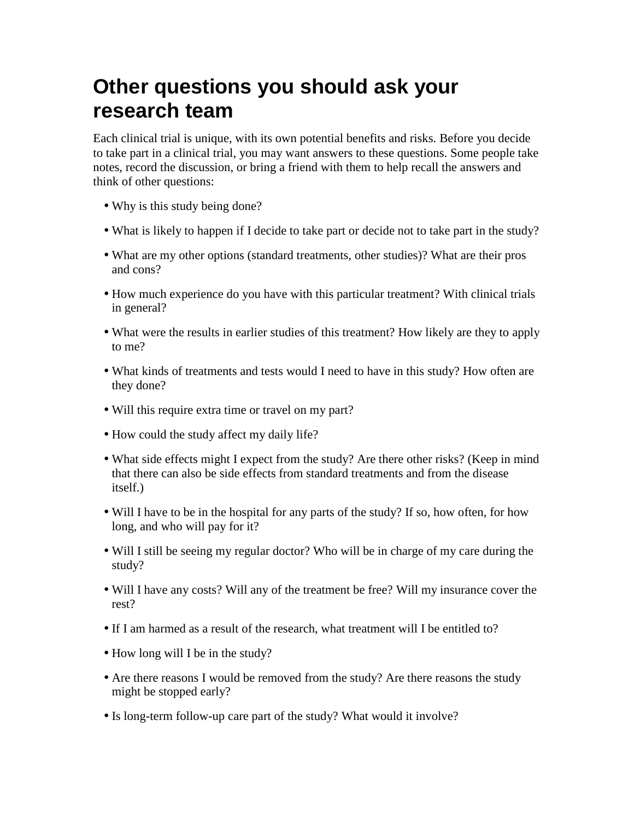## **Other questions you should ask your research team**

Each clinical trial is unique, with its own potential benefits and risks. Before you decide to take part in a clinical trial, you may want answers to these questions. Some people take notes, record the discussion, or bring a friend with them to help recall the answers and think of other questions:

- Why is this study being done?
- What is likely to happen if I decide to take part or decide not to take part in the study?
- What are my other options (standard treatments, other studies)? What are their pros and cons?
- How much experience do you have with this particular treatment? With clinical trials in general?
- What were the results in earlier studies of this treatment? How likely are they to apply to me?
- What kinds of treatments and tests would I need to have in this study? How often are they done?
- Will this require extra time or travel on my part?
- How could the study affect my daily life?
- What side effects might I expect from the study? Are there other risks? (Keep in mind that there can also be side effects from standard treatments and from the disease itself.)
- Will I have to be in the hospital for any parts of the study? If so, how often, for how long, and who will pay for it?
- Will I still be seeing my regular doctor? Who will be in charge of my care during the study?
- Will I have any costs? Will any of the treatment be free? Will my insurance cover the rest?
- If I am harmed as a result of the research, what treatment will I be entitled to?
- How long will I be in the study?
- Are there reasons I would be removed from the study? Are there reasons the study might be stopped early?
- Is long-term follow-up care part of the study? What would it involve?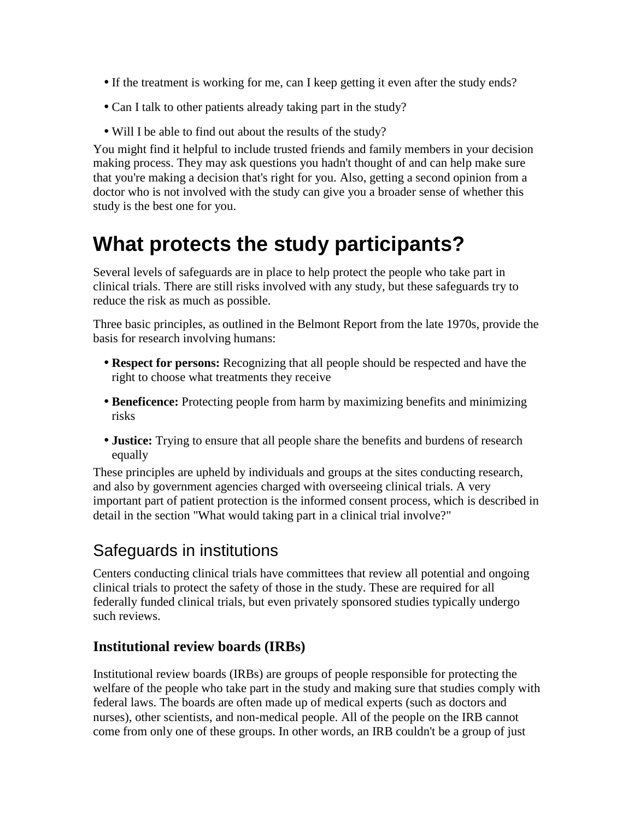- If the treatment is working for me, can I keep getting it even after the study ends?
- Can I talk to other patients already taking part in the study?
- Will I be able to find out about the results of the study?

You might find it helpful to include trusted friends and family members in your decision making process. They may ask questions you hadn't thought of and can help make sure that you're making a decision that's right for you. Also, getting a second opinion from a doctor who is not involved with the study can give you a broader sense of whether this study is the best one for you.

## **What protects the study participants?**

Several levels of safeguards are in place to help protect the people who take part in clinical trials. There are still risks involved with any study, but these safeguards try to reduce the risk as much as possible.

Three basic principles, as outlined in the Belmont Report from the late 1970s, provide the basis for research involving humans:

- **Respect for persons:** Recognizing that all people should be respected and have the right to choose what treatments they receive
- **Beneficence:** Protecting people from harm by maximizing benefits and minimizing risks
- **Justice:** Trying to ensure that all people share the benefits and burdens of research equally

These principles are upheld by individuals and groups at the sites conducting research, and also by government agencies charged with overseeing clinical trials. A very important part of patient protection is the informed consent process, which is described in detail in the section "What would taking part in a clinical trial involve?"

### Safeguards in institutions

Centers conducting clinical trials have committees that review all potential and ongoing clinical trials to protect the safety of those in the study. These are required for all federally funded clinical trials, but even privately sponsored studies typically undergo such reviews.

#### **Institutional review boards (IRBs)**

Institutional review boards (IRBs) are groups of people responsible for protecting the welfare of the people who take part in the study and making sure that studies comply with federal laws. The boards are often made up of medical experts (such as doctors and nurses), other scientists, and non-medical people. All of the people on the IRB cannot come from only one of these groups. In other words, an IRB couldn't be a group of just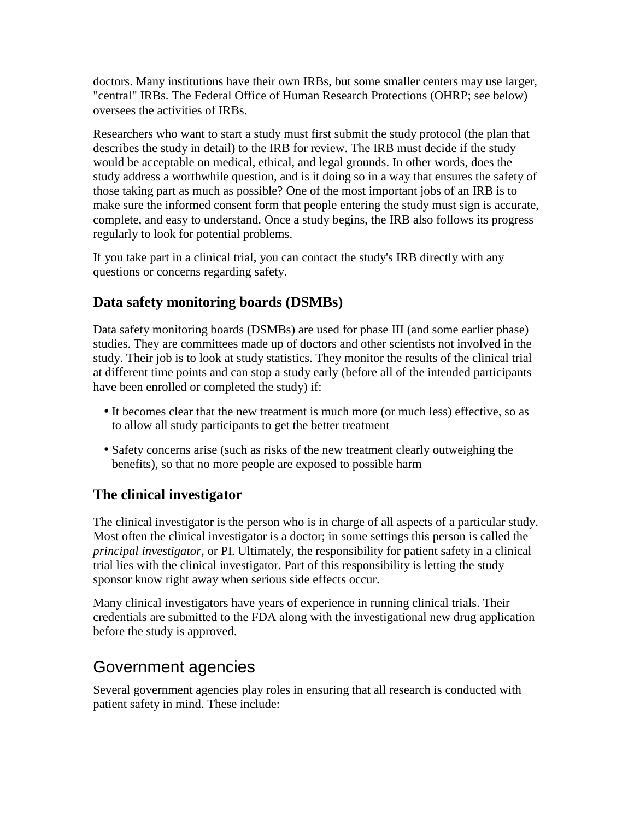doctors. Many institutions have their own IRBs, but some smaller centers may use larger, "central" IRBs. The Federal Office of Human Research Protections (OHRP; see below) oversees the activities of IRBs.

Researchers who want to start a study must first submit the study protocol (the plan that describes the study in detail) to the IRB for review. The IRB must decide if the study would be acceptable on medical, ethical, and legal grounds. In other words, does the study address a worthwhile question, and is it doing so in a way that ensures the safety of those taking part as much as possible? One of the most important jobs of an IRB is to make sure the informed consent form that people entering the study must sign is accurate, complete, and easy to understand. Once a study begins, the IRB also follows its progress regularly to look for potential problems.

If you take part in a clinical trial, you can contact the study's IRB directly with any questions or concerns regarding safety.

#### **Data safety monitoring boards (DSMBs)**

Data safety monitoring boards (DSMBs) are used for phase III (and some earlier phase) studies. They are committees made up of doctors and other scientists not involved in the study. Their job is to look at study statistics. They monitor the results of the clinical trial at different time points and can stop a study early (before all of the intended participants have been enrolled or completed the study) if:

- It becomes clear that the new treatment is much more (or much less) effective, so as to allow all study participants to get the better treatment
- Safety concerns arise (such as risks of the new treatment clearly outweighing the benefits), so that no more people are exposed to possible harm

#### **The clinical investigator**

The clinical investigator is the person who is in charge of all aspects of a particular study. Most often the clinical investigator is a doctor; in some settings this person is called the *principal investigator*, or PI. Ultimately, the responsibility for patient safety in a clinical trial lies with the clinical investigator. Part of this responsibility is letting the study sponsor know right away when serious side effects occur.

Many clinical investigators have years of experience in running clinical trials. Their credentials are submitted to the FDA along with the investigational new drug application before the study is approved.

### Government agencies

Several government agencies play roles in ensuring that all research is conducted with patient safety in mind. These include: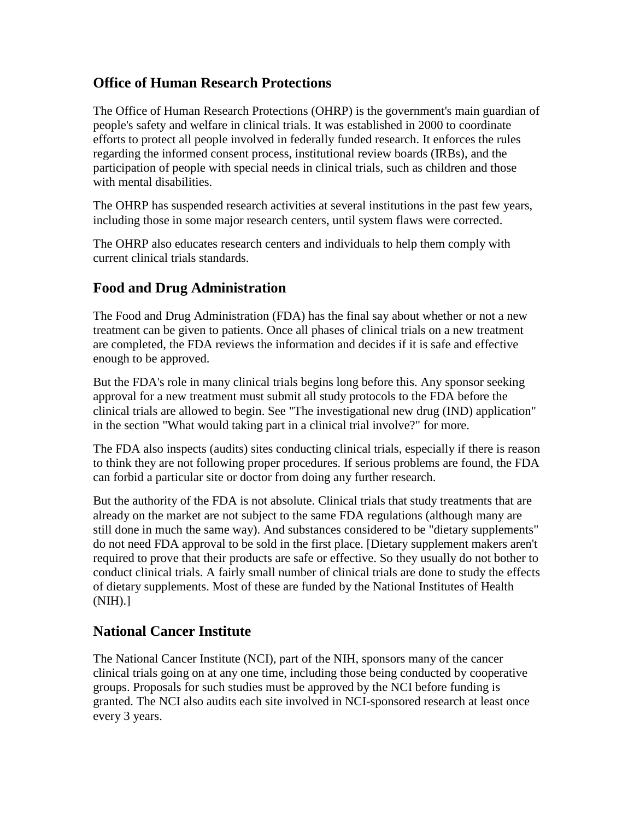#### **Office of Human Research Protections**

The Office of Human Research Protections (OHRP) is the government's main guardian of people's safety and welfare in clinical trials. It was established in 2000 to coordinate efforts to protect all people involved in federally funded research. It enforces the rules regarding the informed consent process, institutional review boards (IRBs), and the participation of people with special needs in clinical trials, such as children and those with mental disabilities.

The OHRP has suspended research activities at several institutions in the past few years, including those in some major research centers, until system flaws were corrected.

The OHRP also educates research centers and individuals to help them comply with current clinical trials standards.

#### **Food and Drug Administration**

The Food and Drug Administration (FDA) has the final say about whether or not a new treatment can be given to patients. Once all phases of clinical trials on a new treatment are completed, the FDA reviews the information and decides if it is safe and effective enough to be approved.

But the FDA's role in many clinical trials begins long before this. Any sponsor seeking approval for a new treatment must submit all study protocols to the FDA before the clinical trials are allowed to begin. See "The investigational new drug (IND) application" in the section "What would taking part in a clinical trial involve?" for more.

The FDA also inspects (audits) sites conducting clinical trials, especially if there is reason to think they are not following proper procedures. If serious problems are found, the FDA can forbid a particular site or doctor from doing any further research.

But the authority of the FDA is not absolute. Clinical trials that study treatments that are already on the market are not subject to the same FDA regulations (although many are still done in much the same way). And substances considered to be "dietary supplements" do not need FDA approval to be sold in the first place. [Dietary supplement makers aren't required to prove that their products are safe or effective. So they usually do not bother to conduct clinical trials. A fairly small number of clinical trials are done to study the effects of dietary supplements. Most of these are funded by the National Institutes of Health (NIH).]

#### **National Cancer Institute**

The National Cancer Institute (NCI), part of the NIH, sponsors many of the cancer clinical trials going on at any one time, including those being conducted by cooperative groups. Proposals for such studies must be approved by the NCI before funding is granted. The NCI also audits each site involved in NCI-sponsored research at least once every 3 years.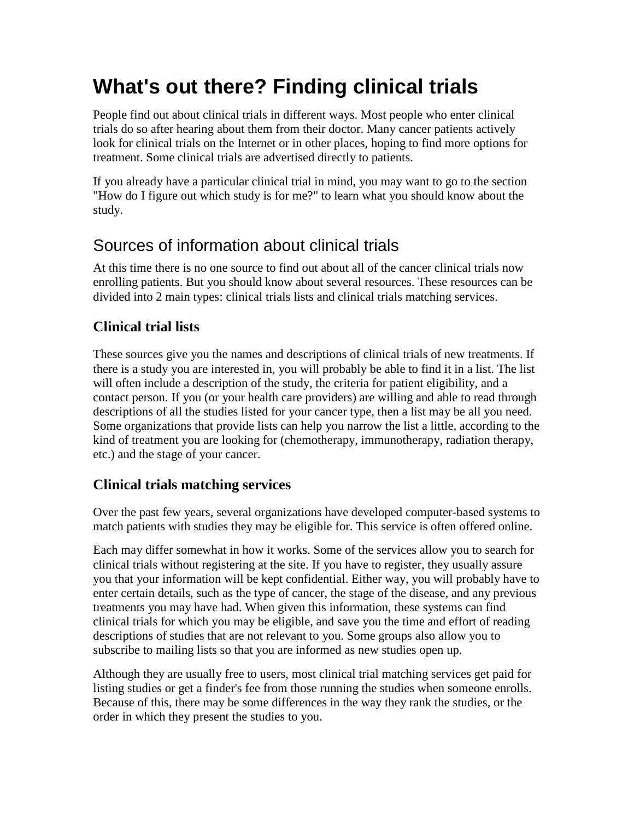# **What's out there? Finding clinical trials**

People find out about clinical trials in different ways. Most people who enter clinical trials do so after hearing about them from their doctor. Many cancer patients actively look for clinical trials on the Internet or in other places, hoping to find more options for treatment. Some clinical trials are advertised directly to patients.

If you already have a particular clinical trial in mind, you may want to go to the section "How do I figure out which study is for me?" to learn what you should know about the study.

## Sources of information about clinical trials

At this time there is no one source to find out about all of the cancer clinical trials now enrolling patients. But you should know about several resources. These resources can be divided into 2 main types: clinical trials lists and clinical trials matching services.

#### **Clinical trial lists**

These sources give you the names and descriptions of clinical trials of new treatments. If there is a study you are interested in, you will probably be able to find it in a list. The list will often include a description of the study, the criteria for patient eligibility, and a contact person. If you (or your health care providers) are willing and able to read through descriptions of all the studies listed for your cancer type, then a list may be all you need. Some organizations that provide lists can help you narrow the list a little, according to the kind of treatment you are looking for (chemotherapy, immunotherapy, radiation therapy, etc.) and the stage of your cancer.

#### **Clinical trials matching services**

Over the past few years, several organizations have developed computer-based systems to match patients with studies they may be eligible for. This service is often offered online.

Each may differ somewhat in how it works. Some of the services allow you to search for clinical trials without registering at the site. If you have to register, they usually assure you that your information will be kept confidential. Either way, you will probably have to enter certain details, such as the type of cancer, the stage of the disease, and any previous treatments you may have had. When given this information, these systems can find clinical trials for which you may be eligible, and save you the time and effort of reading descriptions of studies that are not relevant to you. Some groups also allow you to subscribe to mailing lists so that you are informed as new studies open up.

Although they are usually free to users, most clinical trial matching services get paid for listing studies or get a finder's fee from those running the studies when someone enrolls. Because of this, there may be some differences in the way they rank the studies, or the order in which they present the studies to you.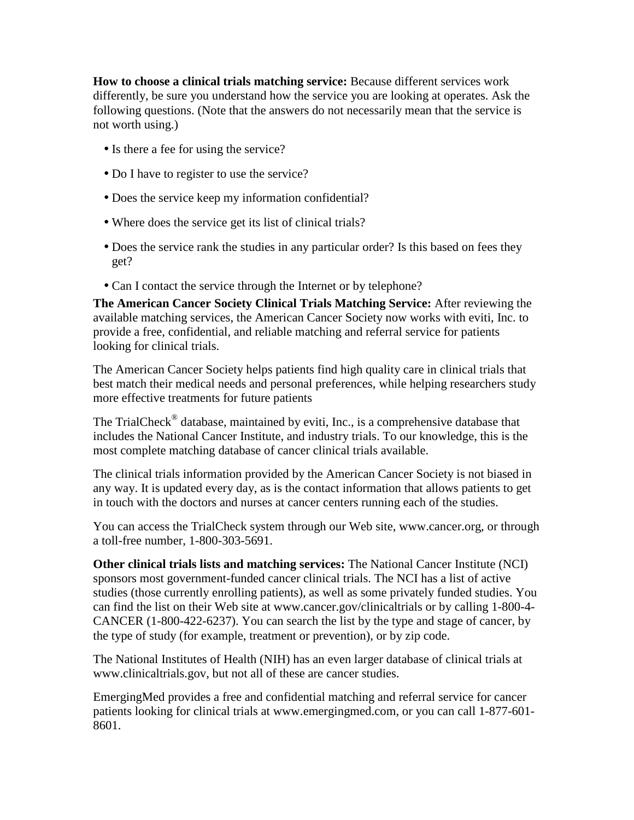**How to choose a clinical trials matching service:** Because different services work differently, be sure you understand how the service you are looking at operates. Ask the following questions. (Note that the answers do not necessarily mean that the service is not worth using.)

- Is there a fee for using the service?
- Do I have to register to use the service?
- Does the service keep my information confidential?
- Where does the service get its list of clinical trials?
- Does the service rank the studies in any particular order? Is this based on fees they get?
- Can I contact the service through the Internet or by telephone?

**The American Cancer Society Clinical Trials Matching Service:** After reviewing the available matching services, the American Cancer Society now works with eviti, Inc. to provide a free, confidential, and reliable matching and referral service for patients looking for clinical trials.

The American Cancer Society helps patients find high quality care in clinical trials that best match their medical needs and personal preferences, while helping researchers study more effective treatments for future patients

The TrialCheck<sup>®</sup> database, maintained by eviti, Inc., is a comprehensive database that includes the National Cancer Institute, and industry trials. To our knowledge, this is the most complete matching database of cancer clinical trials available.

The clinical trials information provided by the American Cancer Society is not biased in any way. It is updated every day, as is the contact information that allows patients to get in touch with the doctors and nurses at cancer centers running each of the studies.

You can access the TrialCheck system through our Web site, www.cancer.org, or through a toll-free number, 1-800-303-5691.

**Other clinical trials lists and matching services:** The National Cancer Institute (NCI) sponsors most government-funded cancer clinical trials. The NCI has a list of active studies (those currently enrolling patients), as well as some privately funded studies. You can find the list on their Web site at www.cancer.gov/clinicaltrials or by calling 1-800-4- CANCER (1-800-422-6237). You can search the list by the type and stage of cancer, by the type of study (for example, treatment or prevention), or by zip code.

The National Institutes of Health (NIH) has an even larger database of clinical trials at www.clinicaltrials.gov, but not all of these are cancer studies.

EmergingMed provides a free and confidential matching and referral service for cancer patients looking for clinical trials at www.emergingmed.com, or you can call 1-877-601- 8601.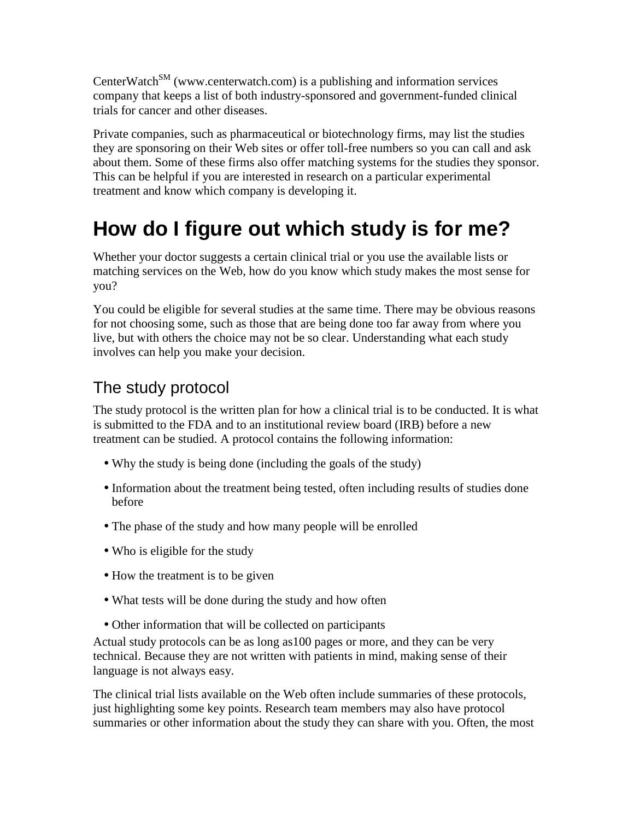CenterWatch<sup>SM</sup> (www.centerwatch.com) is a publishing and information services company that keeps a list of both industry-sponsored and government-funded clinical trials for cancer and other diseases.

Private companies, such as pharmaceutical or biotechnology firms, may list the studies they are sponsoring on their Web sites or offer toll-free numbers so you can call and ask about them. Some of these firms also offer matching systems for the studies they sponsor. This can be helpful if you are interested in research on a particular experimental treatment and know which company is developing it.

## **How do I figure out which study is for me?**

Whether your doctor suggests a certain clinical trial or you use the available lists or matching services on the Web, how do you know which study makes the most sense for you?

You could be eligible for several studies at the same time. There may be obvious reasons for not choosing some, such as those that are being done too far away from where you live, but with others the choice may not be so clear. Understanding what each study involves can help you make your decision.

## The study protocol

The study protocol is the written plan for how a clinical trial is to be conducted. It is what is submitted to the FDA and to an institutional review board (IRB) before a new treatment can be studied. A protocol contains the following information:

- Why the study is being done (including the goals of the study)
- Information about the treatment being tested, often including results of studies done before
- The phase of the study and how many people will be enrolled
- Who is eligible for the study
- How the treatment is to be given
- What tests will be done during the study and how often
- Other information that will be collected on participants

Actual study protocols can be as long as100 pages or more, and they can be very technical. Because they are not written with patients in mind, making sense of their language is not always easy.

The clinical trial lists available on the Web often include summaries of these protocols, just highlighting some key points. Research team members may also have protocol summaries or other information about the study they can share with you. Often, the most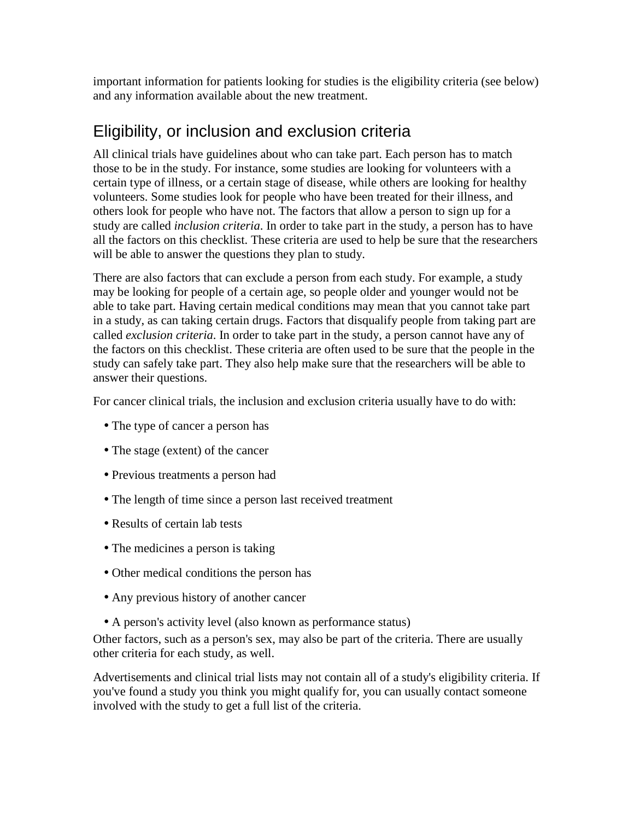important information for patients looking for studies is the eligibility criteria (see below) and any information available about the new treatment.

## Eligibility, or inclusion and exclusion criteria

All clinical trials have guidelines about who can take part. Each person has to match those to be in the study. For instance, some studies are looking for volunteers with a certain type of illness, or a certain stage of disease, while others are looking for healthy volunteers. Some studies look for people who have been treated for their illness, and others look for people who have not. The factors that allow a person to sign up for a study are called *inclusion criteria*. In order to take part in the study, a person has to have all the factors on this checklist. These criteria are used to help be sure that the researchers will be able to answer the questions they plan to study.

There are also factors that can exclude a person from each study. For example, a study may be looking for people of a certain age, so people older and younger would not be able to take part. Having certain medical conditions may mean that you cannot take part in a study, as can taking certain drugs. Factors that disqualify people from taking part are called *exclusion criteria*. In order to take part in the study, a person cannot have any of the factors on this checklist. These criteria are often used to be sure that the people in the study can safely take part. They also help make sure that the researchers will be able to answer their questions.

For cancer clinical trials, the inclusion and exclusion criteria usually have to do with:

- The type of cancer a person has
- The stage (extent) of the cancer
- Previous treatments a person had
- The length of time since a person last received treatment
- Results of certain lab tests
- The medicines a person is taking
- Other medical conditions the person has
- Any previous history of another cancer
- A person's activity level (also known as performance status)

Other factors, such as a person's sex, may also be part of the criteria. There are usually other criteria for each study, as well.

Advertisements and clinical trial lists may not contain all of a study's eligibility criteria. If you've found a study you think you might qualify for, you can usually contact someone involved with the study to get a full list of the criteria.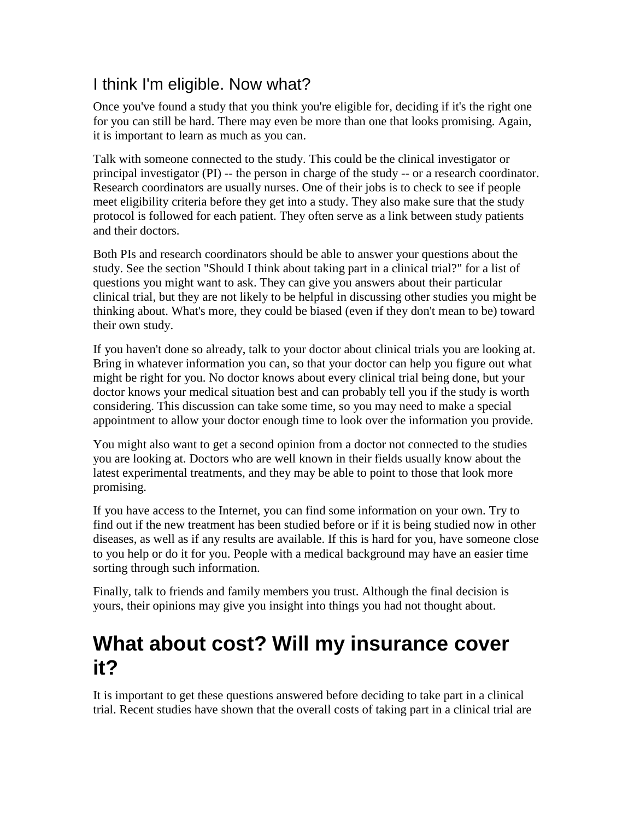## I think I'm eligible. Now what?

Once you've found a study that you think you're eligible for, deciding if it's the right one for you can still be hard. There may even be more than one that looks promising. Again, it is important to learn as much as you can.

Talk with someone connected to the study. This could be the clinical investigator or principal investigator (PI) -- the person in charge of the study -- or a research coordinator. Research coordinators are usually nurses. One of their jobs is to check to see if people meet eligibility criteria before they get into a study. They also make sure that the study protocol is followed for each patient. They often serve as a link between study patients and their doctors.

Both PIs and research coordinators should be able to answer your questions about the study. See the section "Should I think about taking part in a clinical trial?" for a list of questions you might want to ask. They can give you answers about their particular clinical trial, but they are not likely to be helpful in discussing other studies you might be thinking about. What's more, they could be biased (even if they don't mean to be) toward their own study.

If you haven't done so already, talk to your doctor about clinical trials you are looking at. Bring in whatever information you can, so that your doctor can help you figure out what might be right for you. No doctor knows about every clinical trial being done, but your doctor knows your medical situation best and can probably tell you if the study is worth considering. This discussion can take some time, so you may need to make a special appointment to allow your doctor enough time to look over the information you provide.

You might also want to get a second opinion from a doctor not connected to the studies you are looking at. Doctors who are well known in their fields usually know about the latest experimental treatments, and they may be able to point to those that look more promising.

If you have access to the Internet, you can find some information on your own. Try to find out if the new treatment has been studied before or if it is being studied now in other diseases, as well as if any results are available. If this is hard for you, have someone close to you help or do it for you. People with a medical background may have an easier time sorting through such information.

Finally, talk to friends and family members you trust. Although the final decision is yours, their opinions may give you insight into things you had not thought about.

## **What about cost? Will my insurance cover it?**

It is important to get these questions answered before deciding to take part in a clinical trial. Recent studies have shown that the overall costs of taking part in a clinical trial are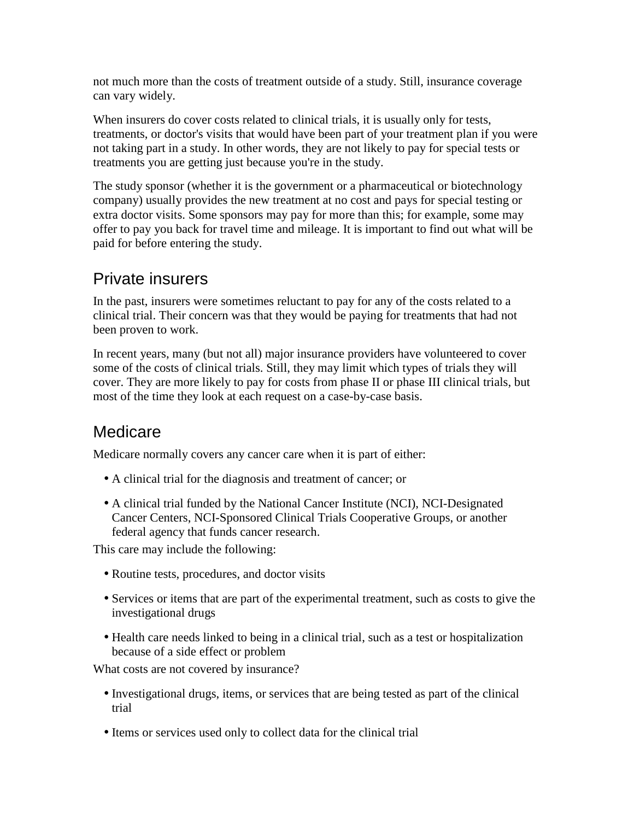not much more than the costs of treatment outside of a study. Still, insurance coverage can vary widely.

When insurers do cover costs related to clinical trials, it is usually only for tests, treatments, or doctor's visits that would have been part of your treatment plan if you were not taking part in a study. In other words, they are not likely to pay for special tests or treatments you are getting just because you're in the study.

The study sponsor (whether it is the government or a pharmaceutical or biotechnology company) usually provides the new treatment at no cost and pays for special testing or extra doctor visits. Some sponsors may pay for more than this; for example, some may offer to pay you back for travel time and mileage. It is important to find out what will be paid for before entering the study.

### Private insurers

In the past, insurers were sometimes reluctant to pay for any of the costs related to a clinical trial. Their concern was that they would be paying for treatments that had not been proven to work.

In recent years, many (but not all) major insurance providers have volunteered to cover some of the costs of clinical trials. Still, they may limit which types of trials they will cover. They are more likely to pay for costs from phase II or phase III clinical trials, but most of the time they look at each request on a case-by-case basis.

### **Medicare**

Medicare normally covers any cancer care when it is part of either:

- A clinical trial for the diagnosis and treatment of cancer; or
- A clinical trial funded by the National Cancer Institute (NCI), NCI-Designated Cancer Centers, NCI-Sponsored Clinical Trials Cooperative Groups, or another federal agency that funds cancer research.

This care may include the following:

- Routine tests, procedures, and doctor visits
- Services or items that are part of the experimental treatment, such as costs to give the investigational drugs
- Health care needs linked to being in a clinical trial, such as a test or hospitalization because of a side effect or problem

What costs are not covered by insurance?

- Investigational drugs, items, or services that are being tested as part of the clinical trial
- Items or services used only to collect data for the clinical trial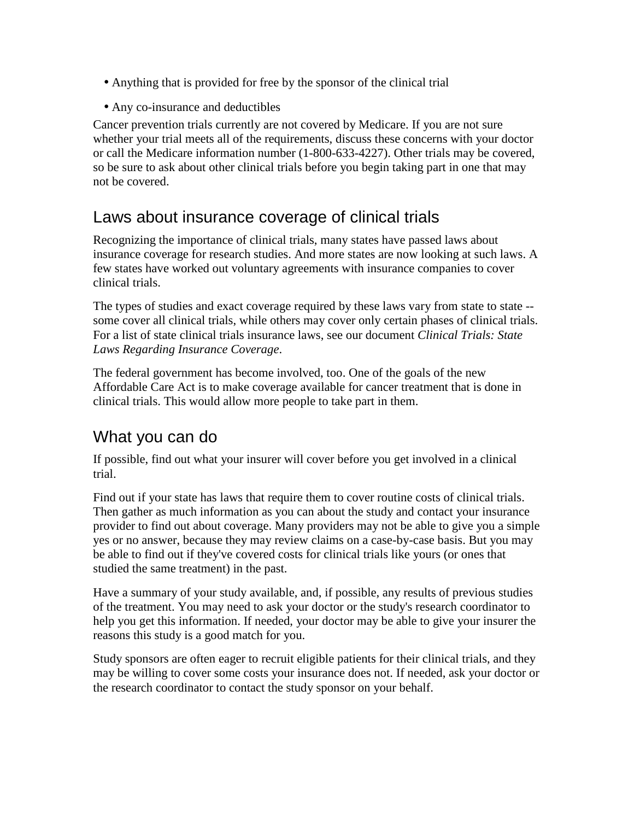- Anything that is provided for free by the sponsor of the clinical trial
- Any co-insurance and deductibles

Cancer prevention trials currently are not covered by Medicare. If you are not sure whether your trial meets all of the requirements, discuss these concerns with your doctor or call the Medicare information number (1-800-633-4227). Other trials may be covered, so be sure to ask about other clinical trials before you begin taking part in one that may not be covered.

### Laws about insurance coverage of clinical trials

Recognizing the importance of clinical trials, many states have passed laws about insurance coverage for research studies. And more states are now looking at such laws. A few states have worked out voluntary agreements with insurance companies to cover clinical trials.

The types of studies and exact coverage required by these laws vary from state to state - some cover all clinical trials, while others may cover only certain phases of clinical trials. For a list of state clinical trials insurance laws, see our document *Clinical Trials: State Laws Regarding Insurance Coverage*.

The federal government has become involved, too. One of the goals of the new Affordable Care Act is to make coverage available for cancer treatment that is done in clinical trials. This would allow more people to take part in them.

## What you can do

If possible, find out what your insurer will cover before you get involved in a clinical trial.

Find out if your state has laws that require them to cover routine costs of clinical trials. Then gather as much information as you can about the study and contact your insurance provider to find out about coverage. Many providers may not be able to give you a simple yes or no answer, because they may review claims on a case-by-case basis. But you may be able to find out if they've covered costs for clinical trials like yours (or ones that studied the same treatment) in the past.

Have a summary of your study available, and, if possible, any results of previous studies of the treatment. You may need to ask your doctor or the study's research coordinator to help you get this information. If needed, your doctor may be able to give your insurer the reasons this study is a good match for you.

Study sponsors are often eager to recruit eligible patients for their clinical trials, and they may be willing to cover some costs your insurance does not. If needed, ask your doctor or the research coordinator to contact the study sponsor on your behalf.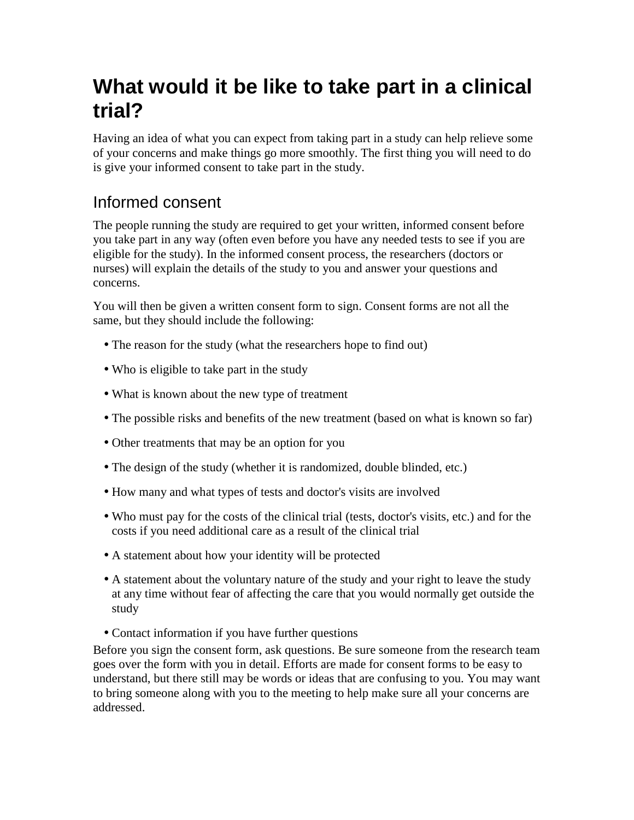## **What would it be like to take part in a clinical trial?**

Having an idea of what you can expect from taking part in a study can help relieve some of your concerns and make things go more smoothly. The first thing you will need to do is give your informed consent to take part in the study.

## Informed consent

The people running the study are required to get your written, informed consent before you take part in any way (often even before you have any needed tests to see if you are eligible for the study). In the informed consent process, the researchers (doctors or nurses) will explain the details of the study to you and answer your questions and concerns.

You will then be given a written consent form to sign. Consent forms are not all the same, but they should include the following:

- The reason for the study (what the researchers hope to find out)
- Who is eligible to take part in the study
- What is known about the new type of treatment
- The possible risks and benefits of the new treatment (based on what is known so far)
- Other treatments that may be an option for you
- The design of the study (whether it is randomized, double blinded, etc.)
- How many and what types of tests and doctor's visits are involved
- Who must pay for the costs of the clinical trial (tests, doctor's visits, etc.) and for the costs if you need additional care as a result of the clinical trial
- A statement about how your identity will be protected
- A statement about the voluntary nature of the study and your right to leave the study at any time without fear of affecting the care that you would normally get outside the study
- Contact information if you have further questions

Before you sign the consent form, ask questions. Be sure someone from the research team goes over the form with you in detail. Efforts are made for consent forms to be easy to understand, but there still may be words or ideas that are confusing to you. You may want to bring someone along with you to the meeting to help make sure all your concerns are addressed.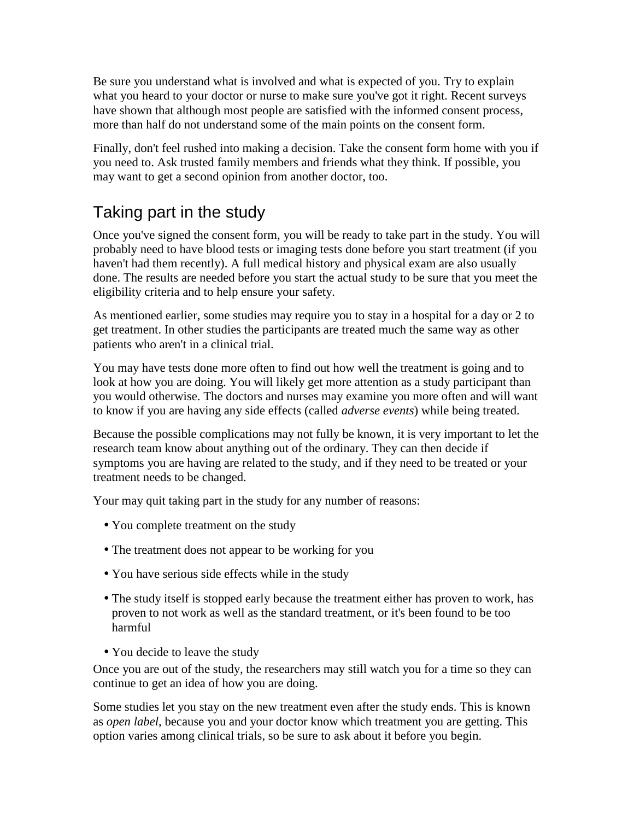Be sure you understand what is involved and what is expected of you. Try to explain what you heard to your doctor or nurse to make sure you've got it right. Recent surveys have shown that although most people are satisfied with the informed consent process, more than half do not understand some of the main points on the consent form.

Finally, don't feel rushed into making a decision. Take the consent form home with you if you need to. Ask trusted family members and friends what they think. If possible, you may want to get a second opinion from another doctor, too.

## Taking part in the study

Once you've signed the consent form, you will be ready to take part in the study. You will probably need to have blood tests or imaging tests done before you start treatment (if you haven't had them recently). A full medical history and physical exam are also usually done. The results are needed before you start the actual study to be sure that you meet the eligibility criteria and to help ensure your safety.

As mentioned earlier, some studies may require you to stay in a hospital for a day or 2 to get treatment. In other studies the participants are treated much the same way as other patients who aren't in a clinical trial.

You may have tests done more often to find out how well the treatment is going and to look at how you are doing. You will likely get more attention as a study participant than you would otherwise. The doctors and nurses may examine you more often and will want to know if you are having any side effects (called *adverse events*) while being treated.

Because the possible complications may not fully be known, it is very important to let the research team know about anything out of the ordinary. They can then decide if symptoms you are having are related to the study, and if they need to be treated or your treatment needs to be changed.

Your may quit taking part in the study for any number of reasons:

- You complete treatment on the study
- The treatment does not appear to be working for you
- You have serious side effects while in the study
- The study itself is stopped early because the treatment either has proven to work, has proven to not work as well as the standard treatment, or it's been found to be too harmful
- You decide to leave the study

Once you are out of the study, the researchers may still watch you for a time so they can continue to get an idea of how you are doing.

Some studies let you stay on the new treatment even after the study ends. This is known as *open label*, because you and your doctor know which treatment you are getting. This option varies among clinical trials, so be sure to ask about it before you begin.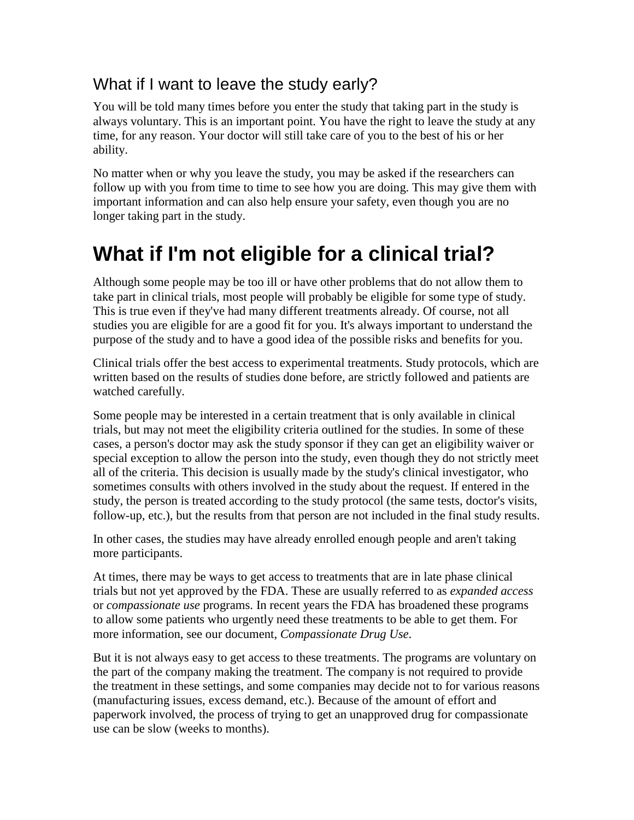## What if I want to leave the study early?

You will be told many times before you enter the study that taking part in the study is always voluntary. This is an important point. You have the right to leave the study at any time, for any reason. Your doctor will still take care of you to the best of his or her ability.

No matter when or why you leave the study, you may be asked if the researchers can follow up with you from time to time to see how you are doing. This may give them with important information and can also help ensure your safety, even though you are no longer taking part in the study.

## **What if I'm not eligible for a clinical trial?**

Although some people may be too ill or have other problems that do not allow them to take part in clinical trials, most people will probably be eligible for some type of study. This is true even if they've had many different treatments already. Of course, not all studies you are eligible for are a good fit for you. It's always important to understand the purpose of the study and to have a good idea of the possible risks and benefits for you.

Clinical trials offer the best access to experimental treatments. Study protocols, which are written based on the results of studies done before, are strictly followed and patients are watched carefully.

Some people may be interested in a certain treatment that is only available in clinical trials, but may not meet the eligibility criteria outlined for the studies. In some of these cases, a person's doctor may ask the study sponsor if they can get an eligibility waiver or special exception to allow the person into the study, even though they do not strictly meet all of the criteria. This decision is usually made by the study's clinical investigator, who sometimes consults with others involved in the study about the request. If entered in the study, the person is treated according to the study protocol (the same tests, doctor's visits, follow-up, etc.), but the results from that person are not included in the final study results.

In other cases, the studies may have already enrolled enough people and aren't taking more participants.

At times, there may be ways to get access to treatments that are in late phase clinical trials but not yet approved by the FDA. These are usually referred to as *expanded access* or *compassionate use* programs. In recent years the FDA has broadened these programs to allow some patients who urgently need these treatments to be able to get them. For more information, see our document, *Compassionate Drug Use*.

But it is not always easy to get access to these treatments. The programs are voluntary on the part of the company making the treatment. The company is not required to provide the treatment in these settings, and some companies may decide not to for various reasons (manufacturing issues, excess demand, etc.). Because of the amount of effort and paperwork involved, the process of trying to get an unapproved drug for compassionate use can be slow (weeks to months).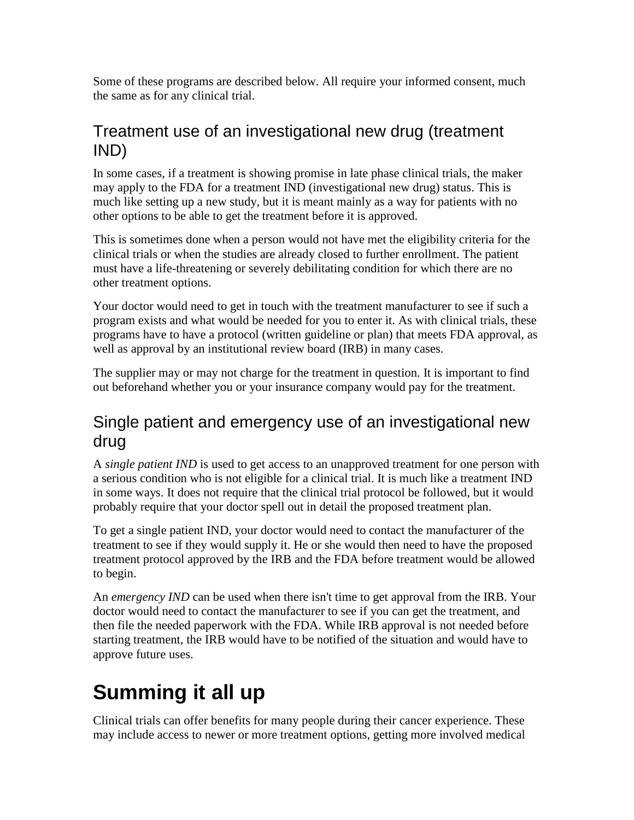Some of these programs are described below. All require your informed consent, much the same as for any clinical trial.

## Treatment use of an investigational new drug (treatment IND)

In some cases, if a treatment is showing promise in late phase clinical trials, the maker may apply to the FDA for a treatment IND (investigational new drug) status. This is much like setting up a new study, but it is meant mainly as a way for patients with no other options to be able to get the treatment before it is approved.

This is sometimes done when a person would not have met the eligibility criteria for the clinical trials or when the studies are already closed to further enrollment. The patient must have a life-threatening or severely debilitating condition for which there are no other treatment options.

Your doctor would need to get in touch with the treatment manufacturer to see if such a program exists and what would be needed for you to enter it. As with clinical trials, these programs have to have a protocol (written guideline or plan) that meets FDA approval, as well as approval by an institutional review board (IRB) in many cases.

The supplier may or may not charge for the treatment in question. It is important to find out beforehand whether you or your insurance company would pay for the treatment.

### Single patient and emergency use of an investigational new drug

A *single patient IND* is used to get access to an unapproved treatment for one person with a serious condition who is not eligible for a clinical trial. It is much like a treatment IND in some ways. It does not require that the clinical trial protocol be followed, but it would probably require that your doctor spell out in detail the proposed treatment plan.

To get a single patient IND, your doctor would need to contact the manufacturer of the treatment to see if they would supply it. He or she would then need to have the proposed treatment protocol approved by the IRB and the FDA before treatment would be allowed to begin.

An *emergency IND* can be used when there isn't time to get approval from the IRB. Your doctor would need to contact the manufacturer to see if you can get the treatment, and then file the needed paperwork with the FDA. While IRB approval is not needed before starting treatment, the IRB would have to be notified of the situation and would have to approve future uses.

# **Summing it all up**

Clinical trials can offer benefits for many people during their cancer experience. These may include access to newer or more treatment options, getting more involved medical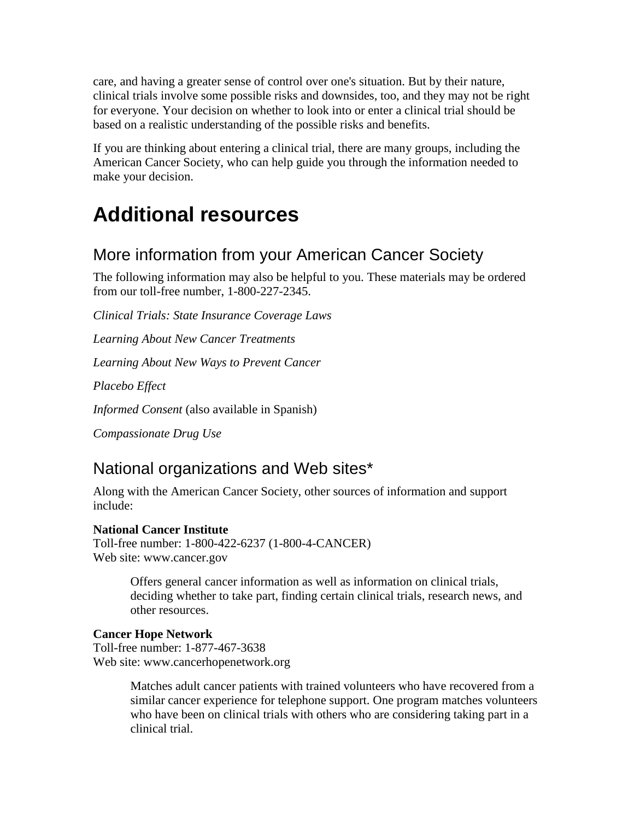care, and having a greater sense of control over one's situation. But by their nature, clinical trials involve some possible risks and downsides, too, and they may not be right for everyone. Your decision on whether to look into or enter a clinical trial should be based on a realistic understanding of the possible risks and benefits.

If you are thinking about entering a clinical trial, there are many groups, including the American Cancer Society, who can help guide you through the information needed to make your decision.

## **Additional resources**

### More information from your American Cancer Society

The following information may also be helpful to you. These materials may be ordered from our toll-free number, 1-800-227-2345.

*Clinical Trials: State Insurance Coverage Laws* 

*Learning About New Cancer Treatments* 

*Learning About New Ways to Prevent Cancer* 

*Placebo Effect* 

*Informed Consent* (also available in Spanish)

*Compassionate Drug Use* 

### National organizations and Web sites\*

Along with the American Cancer Society, other sources of information and support include:

#### **National Cancer Institute**

Toll-free number: 1-800-422-6237 (1-800-4-CANCER) Web site: www.cancer.gov

> Offers general cancer information as well as information on clinical trials, deciding whether to take part, finding certain clinical trials, research news, and other resources.

#### **Cancer Hope Network**

Toll-free number: 1-877-467-3638 Web site: www.cancerhopenetwork.org

> Matches adult cancer patients with trained volunteers who have recovered from a similar cancer experience for telephone support. One program matches volunteers who have been on clinical trials with others who are considering taking part in a clinical trial.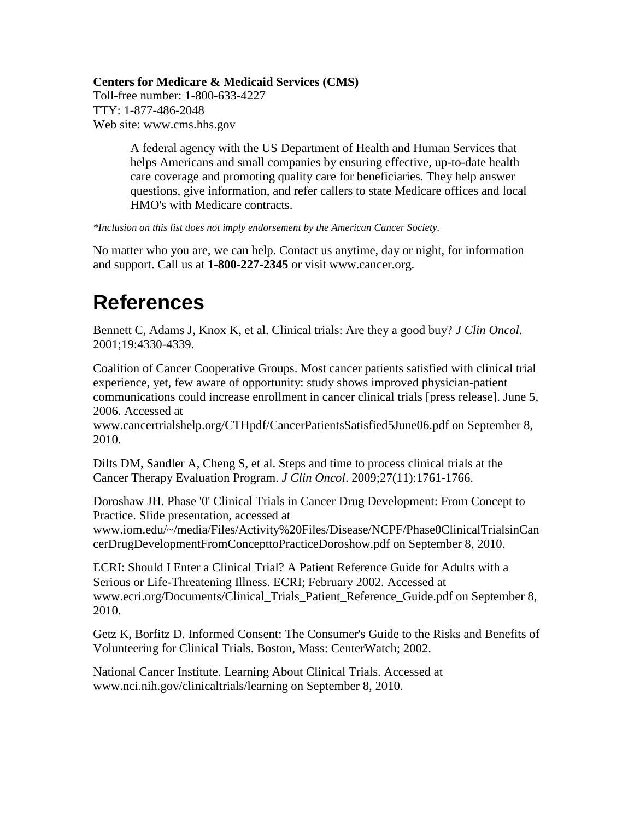#### **Centers for Medicare & Medicaid Services (CMS)**

Toll-free number: 1-800-633-4227 TTY: 1-877-486-2048 Web site: www.cms.hhs.gov

> A federal agency with the US Department of Health and Human Services that helps Americans and small companies by ensuring effective, up-to-date health care coverage and promoting quality care for beneficiaries. They help answer questions, give information, and refer callers to state Medicare offices and local HMO's with Medicare contracts.

*\*Inclusion on this list does not imply endorsement by the American Cancer Society.* 

No matter who you are, we can help. Contact us anytime, day or night, for information and support. Call us at **1-800-227-2345** or visit www.cancer.org.

## **References**

Bennett C, Adams J, Knox K, et al. Clinical trials: Are they a good buy? *J Clin Oncol*. 2001;19:4330-4339.

Coalition of Cancer Cooperative Groups. Most cancer patients satisfied with clinical trial experience, yet, few aware of opportunity: study shows improved physician-patient communications could increase enrollment in cancer clinical trials [press release]. June 5, 2006. Accessed at

www.cancertrialshelp.org/CTHpdf/CancerPatientsSatisfied5June06.pdf on September 8, 2010.

Dilts DM, Sandler A, Cheng S, et al. Steps and time to process clinical trials at the Cancer Therapy Evaluation Program. *J Clin Oncol*. 2009;27(11):1761-1766.

Doroshaw JH. Phase '0' Clinical Trials in Cancer Drug Development: From Concept to Practice. Slide presentation, accessed at

www.iom.edu/~/media/Files/Activity%20Files/Disease/NCPF/Phase0ClinicalTrialsinCan cerDrugDevelopmentFromConcepttoPracticeDoroshow.pdf on September 8, 2010.

ECRI: Should I Enter a Clinical Trial? A Patient Reference Guide for Adults with a Serious or Life-Threatening Illness. ECRI; February 2002. Accessed at www.ecri.org/Documents/Clinical\_Trials\_Patient\_Reference\_Guide.pdf on September 8, 2010.

Getz K, Borfitz D. Informed Consent: The Consumer's Guide to the Risks and Benefits of Volunteering for Clinical Trials. Boston, Mass: CenterWatch; 2002.

National Cancer Institute. Learning About Clinical Trials. Accessed at www.nci.nih.gov/clinicaltrials/learning on September 8, 2010.